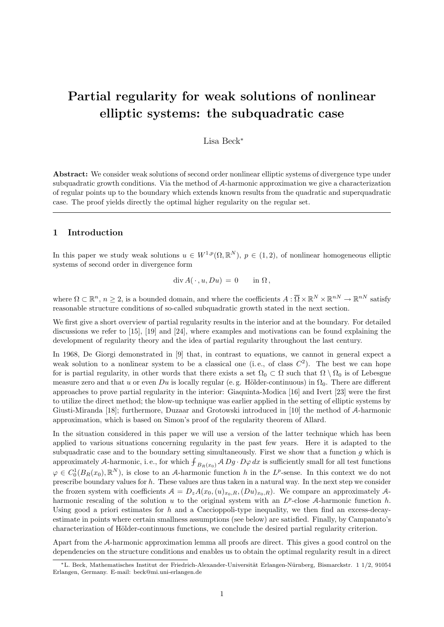# Partial regularity for weak solutions of nonlinear elliptic systems: the subquadratic case

Lisa Beck<sup>∗</sup>

Abstract: We consider weak solutions of second order nonlinear elliptic systems of divergence type under subquadratic growth conditions. Via the method of A-harmonic approximation we give a characterization of regular points up to the boundary which extends known results from the quadratic and superquadratic case. The proof yields directly the optimal higher regularity on the regular set.

## 1 Introduction

In this paper we study weak solutions  $u \in W^{1,p}(\Omega,\mathbb{R}^N)$ ,  $p \in (1,2)$ , of nonlinear homogeneous elliptic systems of second order in divergence form

 $\text{div}\,A(\,\cdot\,,u,Du) = 0 \quad \text{in } \Omega$ ,

where  $\Omega \subset \mathbb{R}^n$ ,  $n \geq 2$ , is a bounded domain, and where the coefficients  $A: \overline{\Omega} \times \mathbb{R}^N \times \mathbb{R}^{nN} \to \mathbb{R}^{nN}$  satisfy reasonable structure conditions of so-called subquadratic growth stated in the next section.

We first give a short overview of partial regularity results in the interior and at the boundary. For detailed discussions we refer to [15], [19] and [24], where examples and motivations can be found explaining the development of regularity theory and the idea of partial regularity throughout the last century.

In 1968, De Giorgi demonstrated in [9] that, in contrast to equations, we cannot in general expect a weak solution to a nonlinear system to be a classical one (i.e., of class  $C^2$ ). The best we can hope for is partial regularity, in other words that there exists a set  $\Omega_0 \subset \Omega$  such that  $\Omega \setminus \Omega_0$  is of Lebesgue measure zero and that u or even Du is locally regular (e.g. Hölder-continuous) in  $\Omega_0$ . There are different approaches to prove partial regularity in the interior: Giaquinta-Modica [16] and Ivert [23] were the first to utilize the direct method; the blow-up technique was earlier applied in the setting of elliptic systems by Giusti-Miranda [18]; furthermore, Duzaar and Grotowski introduced in [10] the method of A-harmonic approximation, which is based on Simon's proof of the regularity theorem of Allard.

In the situation considered in this paper we will use a version of the latter technique which has been applied to various situations concerning regularity in the past few years. Here it is adapted to the subquadratic case and to the boundary setting simultaneously. First we show that a function  $q$  which is approximately A-harmonic, i.e., for which  $\int_{B_R(x_0)}$  A  $Dg \cdot D\varphi dx$  is sufficiently small for all test functions  $\varphi \in C_0^1(B_R(x_0), \mathbb{R}^N)$ , is close to an A-harmonic function h in the L<sup>p</sup>-sense. In this context we do not prescribe boundary values for h. These values are thus taken in a natural way. In the next step we consider the frozen system with coefficients  $A = D_z A(x_0,(u)_{x_0,R},(Du)_{x_0,R})$ . We compare an approximately Aharmonic rescaling of the solution  $u$  to the original system with an  $L^p$ -close A-harmonic function  $h$ . Using good a priori estimates for h and a Caccioppoli-type inequality, we then find an excess-decayestimate in points where certain smallness assumptions (see below) are satisfied. Finally, by Campanato's characterization of Hölder-continuous functions, we conclude the desired partial regularity criterion.

Apart from the A-harmonic approximation lemma all proofs are direct. This gives a good control on the dependencies on the structure conditions and enables us to obtain the optimal regularity result in a direct

<sup>\*</sup>L. Beck, Mathematisches Institut der Friedrich-Alexander-Universität Erlangen-Nürnberg, Bismarckstr. 1 1/2, 91054 Erlangen, Germany. E-mail: beck@mi.uni-erlangen.de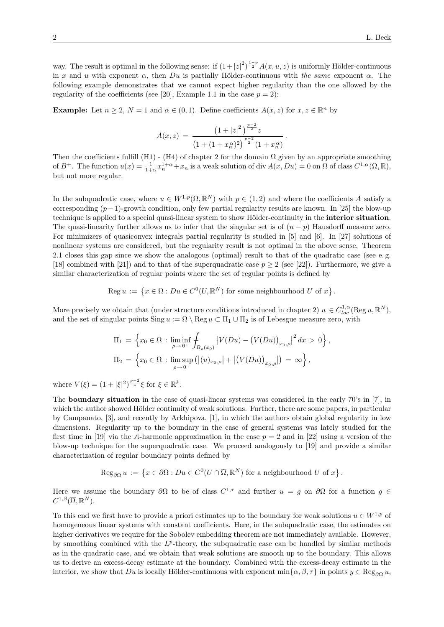way. The result is optimal in the following sense: if  $(1+|z|^2)^{\frac{1-p}{2}}A(x,u,z)$  is uniformly Hölder-continuous in x and u with exponent  $\alpha$ , then Du is partially Hölder-continuous with the same exponent  $\alpha$ . The following example demonstrates that we cannot expect higher regularity than the one allowed by the regularity of the coefficients (see [20], Example 1.1 in the case  $p = 2$ ):

**Example:** Let  $n \geq 2$ ,  $N = 1$  and  $\alpha \in (0, 1)$ . Define coefficients  $A(x, z)$  for  $x, z \in \mathbb{R}^n$  by

$$
A(x, z) = \frac{\left(1 + |z|^2\right)^{\frac{p-2}{2}} z}{\left(1 + (1 + x_n^{\alpha})^2\right)^{\frac{p-2}{2}} \left(1 + x_n^{\alpha}\right)}.
$$

Then the coefficients fulfill (H1) - (H4) of chapter 2 for the domain  $\Omega$  given by an appropriate smoothing of  $B^+$ . The function  $u(x) = \frac{1}{1+\alpha}x_n^{1+\alpha} + x_n$  is a weak solution of div  $A(x, Du) = 0$  on  $\Omega$  of class  $C^{1,\alpha}(\Omega, \mathbb{R})$ , but not more regular.

In the subquadratic case, where  $u \in W^{1,p}(\Omega,\mathbb{R}^N)$  with  $p \in (1,2)$  and where the coefficients A satisfy a corresponding  $(p-1)$ -growth condition, only few partial regularity results are known. In [25] the blow-up technique is applied to a special quasi-linear system to show Hölder-continuity in the interior situation. The quasi-linearity further allows us to infer that the singular set is of  $(n - p)$  Hausdorff measure zero. For minimizers of quasiconvex integrals partial regularity is studied in [5] and [6]. In [27] solutions of nonlinear systems are considered, but the regularity result is not optimal in the above sense. Theorem 2.1 closes this gap since we show the analogous (optimal) result to that of the quadratic case (see e. g. [18] combined with [21]) and to that of the superquadratic case  $p \ge 2$  (see [22]). Furthermore, we give a similar characterization of regular points where the set of regular points is defined by

Reg 
$$
u := \{x \in \Omega : Du \in C^0(U, \mathbb{R}^N) \text{ for some neighbourhood } U \text{ of } x\}.
$$

More precisely we obtain that (under structure conditions introduced in chapter 2)  $u \in C_{loc}^{1,\alpha}(\text{Reg }u,\mathbb{R}^N)$ , and the set of singular points  $\text{Sing } u := \Omega \setminus \text{Reg } u \subset \Pi_1 \cup \Pi_2$  is of Lebesgue measure zero, with

$$
\Pi_1 = \left\{ x_0 \in \Omega : \liminf_{\rho \to 0^+} \int_{B_{\rho}(x_0)} \left| V(Du) - (V(Du))_{x_0, \rho} \right|^2 dx > 0 \right\},\
$$
  

$$
\Pi_2 = \left\{ x_0 \in \Omega : \limsup_{\rho \to 0^+} \left( \left| (u)_{x_0, \rho} \right| + \left| (V(Du))_{x_0, \rho} \right| \right) = \infty \right\},\
$$

where  $V(\xi) = (1 + |\xi|^2)^{\frac{p-2}{4}} \xi$  for  $\xi \in \mathbb{R}^k$ .

The boundary situation in the case of quasi-linear systems was considered in the early 70's in [7], in which the author showed Hölder continuity of weak solutions. Further, there are some papers, in particular by Campanato, [3], and recently by Arkhipova, [1], in which the authors obtain global regularity in low dimensions. Regularity up to the boundary in the case of general systems was lately studied for the first time in [19] via the A-harmonic approximation in the case  $p = 2$  and in [22] using a version of the blow-up technique for the superquadratic case. We proceed analogously to [19] and provide a similar characterization of regular boundary points defined by

$$
\operatorname{Reg}_{\partial\Omega} u := \left\{ x \in \partial\Omega : Du \in C^0(U \cap \overline{\Omega}, \mathbb{R}^N) \text{ for a neighbourhood } U \text{ of } x \right\}.
$$

Here we assume the boundary  $\partial\Omega$  to be of class  $C^{1,\tau}$  and further  $u = g$  on  $\partial\Omega$  for a function  $g \in$  $C^{1,\beta}(\overline{\Omega},\mathbb{R}^N).$ 

To this end we first have to provide a priori estimates up to the boundary for weak solutions  $u \in W^{1,p}$  of homogeneous linear systems with constant coefficients. Here, in the subquadratic case, the estimates on higher derivatives we require for the Sobolev embedding theorem are not immediately available. However, by smoothing combined with the  $L^p$ -theory, the subquadratic case can be handled by similar methods as in the quadratic case, and we obtain that weak solutions are smooth up to the boundary. This allows us to derive an excess-decay estimate at the boundary. Combined with the excess-decay estimate in the interior, we show that Du is locally Hölder-continuous with exponent min $\{\alpha, \beta, \tau\}$  in points  $y \in \text{Reg}_{\partial\Omega} u$ ,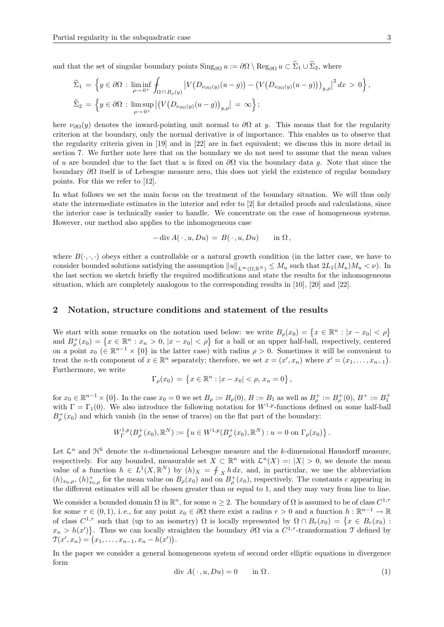and that the set of singular boundary points  $\text{Sing}_{\partial\Omega} u := \partial\Omega \setminus \text{Reg}_{\partial\Omega} u \subset \widetilde{\Sigma}_1 \cup \widetilde{\Sigma}_2$ , where

$$
\widetilde{\Sigma}_1 = \left\{ y \in \partial \Omega : \liminf_{\rho \to 0^+} \int_{\Omega \cap B_{\rho}(y)} \left| V(D_{\nu_{\partial \Omega}(y)}(u-g)) - \left( V(D_{\nu_{\partial \Omega}(y)}(u-g)) \right)_{y,\rho} \right|^2 dx > 0 \right\},\
$$
  

$$
\widetilde{\Sigma}_2 = \left\{ y \in \partial \Omega : \limsup_{\rho \to 0^+} \left| \left( V(D_{\nu_{\partial \Omega}(y)}(u-g))_{y,\rho} \right| = \infty \right\};
$$

here  $\nu_{\partial\Omega}(y)$  denotes the inward-pointing unit normal to  $\partial\Omega$  at y. This means that for the regularity criterion at the boundary, only the normal derivative is of importance. This enables us to observe that the regularity criteria given in [19] and in [22] are in fact equivalent; we discuss this in more detail in section 7. We further note here that on the boundary we do not need to assume that the mean values of u are bounded due to the fact that u is fixed on  $\partial\Omega$  via the boundary data g. Note that since the boundary  $\partial\Omega$  itself is of Lebesgue measure zero, this does not yield the existence of regular boundary points. For this we refer to [12].

In what follows we set the main focus on the treatment of the boundary situation. We will thus only state the intermediate estimates in the interior and refer to [2] for detailed proofs and calculations, since the interior case is technically easier to handle. We concentrate on the case of homogeneous systems. However, our method also applies to the inhomogeneous case

$$
-\operatorname{div} A(\cdot, u, Du) = B(\cdot, u, Du) \quad \text{in } \Omega,
$$

where  $B(\cdot, \cdot)$  obeys either a controllable or a natural growth condition (in the latter case, we have to consider bounded solutions satisfying the assumption  $||u||_{L^{\infty}(\Omega,\mathbb{R}^N)} \leq M_u$  such that  $2L_1(M_u)M_u < \nu$ ). In the last section we sketch briefly the required modifications and state the results for the inhomogeneous situation, which are completely analogous to the corresponding results in [10], [20] and [22].

#### 2 Notation, structure conditions and statement of the results

We start with some remarks on the notation used below: we write  $B_{\rho}(x_0) = \{x \in \mathbb{R}^n : |x - x_0| < \rho\}$ and  $B_{\rho}^+(x_0) = \{x \in \mathbb{R}^n : x_n > 0, |x - x_0| < \rho\}$  for a ball or an upper half-ball, respectively, centered on a point  $x_0 \in \mathbb{R}^{n-1} \times \{0\}$  in the latter case) with radius  $\rho > 0$ . Sometimes it will be convenient to treat the *n*-th component of  $x \in \mathbb{R}^n$  separately; therefore, we set  $x = (x', x_n)$  where  $x' = (x_1, \ldots, x_{n-1})$ . Furthermore, we write

$$
\Gamma_{\rho}(x_0) = \{ x \in \mathbb{R}^n : |x - x_0| < \rho, \, x_n = 0 \},
$$

for  $x_0 \in \mathbb{R}^{n-1} \times \{0\}$ . In the case  $x_0 = 0$  we set  $B_\rho := B_\rho(0)$ ,  $B := B_1$  as well as  $B_\rho^+ := B_\rho^+(0)$ ,  $B^+ := B_1^+$ with  $\Gamma = \Gamma_1(0)$ . We also introduce the following notation for  $W^{1,p}$ -functions defined on some half-ball  $B_{\rho}^{+}(x_0)$  and which vanish (in the sense of traces) on the flat part of the boundary:

$$
W^{1,p}_{\Gamma}(B^+_{\rho}(x_0), \mathbb{R}^N) := \left\{ u \in W^{1,p}(B^+_{\rho}(x_0), \mathbb{R}^N) : u = 0 \text{ on } \Gamma_{\rho}(x_0) \right\}.
$$

Let  $\mathcal{L}^n$  and  $\mathcal{H}^k$  denote the *n*-dimensional Lebesgue measure and the *k*-dimensional Hausdorff measure, respectively. For any bounded, measurable set  $X \subset \mathbb{R}^n$  with  $\mathcal{L}^n(X) =: |X| > 0$ , we denote the mean value of a function  $h \in L^1(X, \mathbb{R}^N)$  by  $(h)_X = \int_X h dx$ , and, in particular, we use the abbreviation  $(h)_{x_0,\rho}, (h)_{x_0,\rho}^+$  for the mean value on  $B_{\rho}(x_0)$  and on  $B_{\rho}^+(x_0)$ , respectively. The constants c appearing in the different estimates will all be chosen greater than or equal to 1, and they may vary from line to line.

We consider a bounded domain  $\Omega$  in  $\mathbb{R}^n$ , for some  $n \geq 2$ . The boundary of  $\Omega$  is assumed to be of class  $C^{1, \tau}$ for some  $\tau \in (0,1)$ , i.e., for any point  $x_0 \in \partial\Omega$  there exist a radius  $r > 0$  and a function  $h : \mathbb{R}^{n-1} \to \mathbb{R}$ of class  $C^{1,\tau}$  such that (up to an isometry)  $\Omega$  is locally represented by  $\Omega \cap B_r(x_0) = \{x \in B_r(x_0) :$  $x_n > h(x')$ . Thus we can locally straighten the boundary  $\partial\Omega$  via a  $C^{1,\tau}$ -transformation  $\mathcal T$  defined by  $\mathfrak{T}(x', x_n) = (x_1, \ldots, x_{n-1}, x_n - h(x')).$ 

In the paper we consider a general homogeneous system of second order elliptic equations in divergence form

$$
\text{div } A(\cdot, u, Du) = 0 \qquad \text{in } \Omega. \tag{1}
$$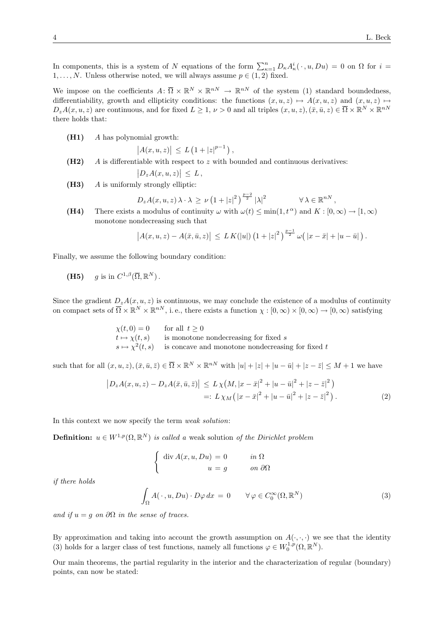In components, this is a system of N equations of the form  $\sum_{\kappa=1}^n D_{\kappa} A_{\kappa}^i(\cdot, u, Du) = 0$  on  $\Omega$  for  $i =$  $1, \ldots, N$ . Unless otherwise noted, we will always assume  $p \in (1, 2)$  fixed.

We impose on the coefficients  $A: \overline{\Omega} \times \mathbb{R}^N \times \mathbb{R}^{nN} \to \mathbb{R}^{nN}$  of the system (1) standard boundedness, differentiability, growth and ellipticity conditions: the functions  $(x, u, z) \mapsto A(x, u, z)$  and  $(x, u, z) \mapsto$  $D_z A(x, u, z)$  are continuous, and for fixed  $L \geq 1, \nu > 0$  and all triples  $(x, u, z), (\bar{x}, \bar{u}, z) \in \bar{\Omega} \times \mathbb{R}^N \times \mathbb{R}^{nN}$ there holds that:

(H1) A has polynomial growth:

 $|A(x, u, z)| \leq L (1 + |z|^{p-1}),$ 

 $(H2)$  A is differentiable with respect to z with bounded and continuous derivatives:

$$
\big|D_zA(x,u,z)\big|\,\leq\,L\,,
$$

 $(H3)$  A is uniformly strongly elliptic:

$$
D_z A(x, u, z) \lambda \cdot \lambda \ge \nu \left( 1 + |z|^2 \right)^{\frac{p-2}{2}} |\lambda|^2 \qquad \forall \lambda \in \mathbb{R}^{nN},
$$

(H4) There exists a modulus of continuity  $\omega$  with  $\omega(t) \le \min(1, t^{\alpha})$  and  $K : [0, \infty) \to [1, \infty)$ monotone nondecreasing such that

$$
\left| A(x, u, z) - A(\bar{x}, \bar{u}, z) \right| \leq L K(|u|) \left( 1 + |z|^2 \right)^{\frac{p-1}{2}} \omega\big( |x - \bar{x}| + |u - \bar{u}| \big).
$$

Finally, we assume the following boundary condition:

(H5) 
$$
g
$$
 is in  $C^{1,\beta}(\overline{\Omega}, \mathbb{R}^N)$ .

Since the gradient  $D_zA(x, u, z)$  is continuous, we may conclude the existence of a modulus of continuity on compact sets of  $\overline{\Omega} \times \mathbb{R}^N \times \mathbb{R}^{nN}$ , i.e., there exists a function  $\chi : [0, \infty) \times [0, \infty) \to [0, \infty)$  satisfying

> $\chi(t, 0) = 0$  for all  $t \ge 0$  $t \mapsto \chi(t, s)$  is monotone nondecreasing for fixed s  $s \mapsto \chi^2(t, s)$  is concave and monotone nondecreasing for fixed t

such that for all  $(x, u, z), (\bar{x}, \bar{u}, \bar{z}) \in \overline{\Omega} \times \mathbb{R}^N \times \mathbb{R}^{nN}$  with  $|u| + |z| + |u - \bar{u}| + |z - \bar{z}| \leq M + 1$  we have

$$
\begin{aligned} \left| D_z A(x, u, z) - D_z A(\bar{x}, \bar{u}, \bar{z}) \right| &\le L \chi \big( M, |x - \bar{x}|^2 + |u - \bar{u}|^2 + |z - \bar{z}|^2 \big) \\ &=: L \chi_M \big( |x - \bar{x}|^2 + |u - \bar{u}|^2 + |z - \bar{z}|^2 \big) \,. \end{aligned} \tag{2}
$$

In this context we now specify the term weak solution:

**Definition:**  $u \in W^{1,p}(\Omega,\mathbb{R}^N)$  is called a weak solution of the Dirichlet problem

$$
\begin{cases} \operatorname{div} A(x, u, Du) = 0 & \text{in } \Omega \\ u = g & \text{on } \partial \Omega \end{cases}
$$

if there holds

$$
\int_{\Omega} A(\cdot, u, Du) \cdot D\varphi \, dx = 0 \qquad \forall \varphi \in C_0^{\infty}(\Omega, \mathbb{R}^N)
$$
\n(3)

and if  $u = q$  on  $\partial\Omega$  in the sense of traces.

By approximation and taking into account the growth assumption on  $A(\cdot, \cdot, \cdot)$  we see that the identity (3) holds for a larger class of test functions, namely all functions  $\varphi \in W_0^{1,p}(\Omega,\mathbb{R}^N)$ .

Our main theorems, the partial regularity in the interior and the characterization of regular (boundary) points, can now be stated: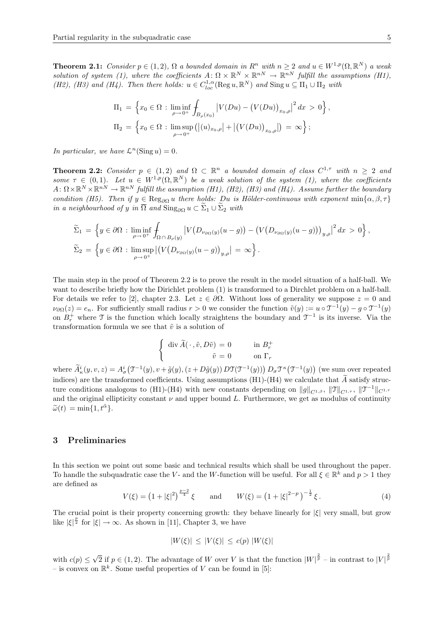**Theorem 2.1:** Consider  $p \in (1, 2)$ ,  $\Omega$  a bounded domain in  $R^n$  with  $n \geq 2$  and  $u \in W^{1,p}(\Omega, \mathbb{R}^N)$  a weak solution of system (1), where the coefficients  $A: \Omega \times \mathbb{R}^N \times \mathbb{R}^{n} \to \mathbb{R}^{n}$  fulfill the assumptions (H1), (H2), (H3) and (H4). Then there holds:  $u \in C_{loc}^{1,\alpha}(\text{Reg }u, \mathbb{R}^N)$  and  $\text{Sing }u \subseteq \Pi_1 \cup \Pi_2$  with

$$
\Pi_1 = \left\{ x_0 \in \Omega : \liminf_{\rho \to 0^+} \int_{B_{\rho}(x_0)} \left| V(Du) - (V(Du))_{x_0, \rho} \right|^2 dx > 0 \right\},
$$
  
\n
$$
\Pi_2 = \left\{ x_0 \in \Omega : \limsup_{\rho \to 0^+} \left( |(u)_{x_0, \rho}| + |(V(Du))_{x_0, \rho} | \right) = \infty \right\};
$$

In particular, we have  $\mathcal{L}^n(\text{Sing }u) = 0$ .

**Theorem 2.2:** Consider  $p \in (1,2)$  and  $\Omega \subset \mathbb{R}^n$  a bounded domain of class  $C^{1,\tau}$  with  $n \geq 2$  and some  $\tau \in (0,1)$ . Let  $u \in W^{1,p}(\Omega,\mathbb{R}^N)$  be a weak solution of the system (1), where the coefficients  $A: \Omega \times \mathbb{R}^N \times \mathbb{R}^{n} \to \mathbb{R}^{n}$  fulfill the assumption (H1), (H2), (H3) and (H4). Assume further the boundary condition (H5). Then if  $y \in \text{Reg}_{\partial\Omega} u$  there holds: Du is Hölder-continuous with exponent min{ $\alpha, \beta, \tau$ } in a neighbourhood of y in  $\overline{\Omega}$  and  $\text{Sing}_{\partial\Omega} u \subset \widetilde{\Sigma}_1 \cup \widetilde{\Sigma}_2$  with

$$
\widetilde{\Sigma}_1 = \left\{ y \in \partial \Omega : \liminf_{\rho \to 0^+} \int_{\Omega \cap B_{\rho}(y)} \left| V(D_{\nu_{\partial \Omega}(y)}(u-g)) - (V(D_{\nu_{\partial \Omega}(y)}(u-g)))_{y,\rho} \right|^2 dx > 0 \right\},\
$$
  

$$
\widetilde{\Sigma}_2 = \left\{ y \in \partial \Omega : \limsup_{\rho \to 0^+} \left| (V(D_{\nu_{\partial \Omega}(y)}(u-g))_{y,\rho} \right| = \infty \right\}.
$$

The main step in the proof of Theorem 2.2 is to prove the result in the model situation of a half-ball. We want to describe briefly how the Dirichlet problem (1) is transformed to a Dirchlet problem on a half-ball. For details we refer to [2], chapter 2.3. Let  $z \in \partial \Omega$ . Without loss of generality we suppose  $z = 0$  and  $\nu_{\partial\Omega}(z) = e_n$ . For sufficiently small radius  $r > 0$  we consider the function  $\tilde{v}(y) := u \circ \mathfrak{T}^{-1}(y) - g \circ \mathfrak{T}^{-1}(y)$ on  $B_r^+$  where T is the function which locally straightens the boundary and  $\mathcal{T}^{-1}$  is its inverse. Via the transformation formula we see that  $\tilde{v}$  is a solution of

$$
\begin{cases} \operatorname{div} \widetilde{A}(\,\cdot\,,\widetilde{v},D\widetilde{v})=0 \qquad & \text{in} \ B^+_r \\ \qquad \widetilde{v}=0 \qquad & \text{on} \ \Gamma_r \end{cases}
$$

where  $\tilde{A}^i_{\kappa}(y, v, z) = A^i_{\sigma}(\mathcal{T}^{-1}(y), v + \tilde{g}(y), (z + D\tilde{g}(y)) D\mathcal{T}(\mathcal{T}^{-1}(y))) D_{\sigma} \mathcal{T}^{\kappa}(\mathcal{T}^{-1}(y))$  (we sum over repeated indices) are the transformed coefficients. Using assumptions (H1)-(H4) we calculate that  $\widetilde{A}$  satisfy structure conditions analogous to (H1)-(H4) with new constants depending on  $||g||_{C^{1,\beta}}, ||\mathfrak{T}||_{C^{1,\tau}}, ||\mathfrak{T}^{-1}||_{C^{1,\tau}}$ and the original ellipticity constant  $\nu$  and upper bound L. Furthermore, we get as modulus of continuity  $\widetilde{\omega}(t) = \min\{1, t^{\tilde{\alpha}}\}.$ 

#### 3 Preliminaries

In this section we point out some basic and technical results which shall be used throughout the paper. To handle the subquadratic case the V- and the W-function will be useful. For all  $\xi \in \mathbb{R}^k$  and  $p > 1$  they are defined as

$$
V(\xi) = \left(1 + |\xi|^2\right)^{\frac{p-2}{4}} \xi \quad \text{and} \quad W(\xi) = \left(1 + |\xi|^{2-p}\right)^{-\frac{1}{2}} \xi. \tag{4}
$$

The crucial point is their property concerning growth: they behave linearly for  $|\xi|$  very small, but grow like  $|\xi|^{\frac{p}{2}}$  for  $|\xi| \to \infty$ . As shown in [11], Chapter 3, we have

$$
|W(\xi)| \le |V(\xi)| \le c(p) |W(\xi)|
$$

with  $c(p) \leq$ √  $\overline{2}$  if  $p \in (1, 2)$ . The advantage of W over V is that the function  $|W|^{\frac{2}{p}}$  – in contrast to  $|V|^{\frac{2}{p}}$ – is convex on  $\mathbb{R}^k$ . Some useful properties of V can be found in [5]: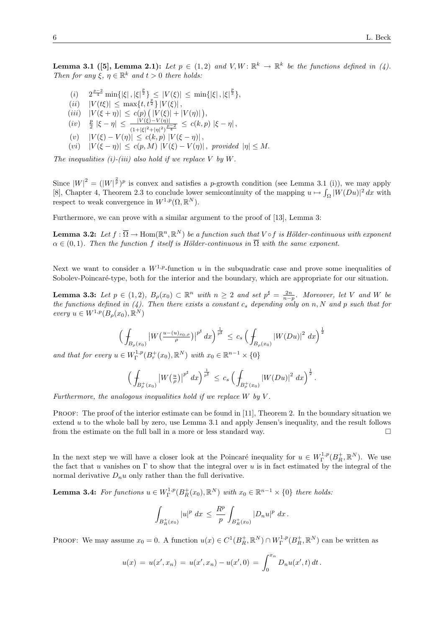**Lemma 3.1** ([5], Lemma 2.1): Let  $p \in (1,2)$  and  $V, W \colon \mathbb{R}^k \to \mathbb{R}^k$  be the functions defined in (4). Then for any  $\xi, \eta \in \mathbb{R}^k$  and  $t > 0$  there holds:

- $(i)$   $2^{\frac{p-2}{4}} \min\{|\xi|, |\xi|^{\frac{p}{2}}\} \leq |V(\xi)| \leq \min\{|\xi|, |\xi|^{\frac{p}{2}}\},$
- $(ii)$   $|V(t\xi)| \leq \max\{t, t^{\frac{p}{2}}\} |V(\xi)|$ ,
- $(iii) |V(\xi + \eta)| \leq c(p) (|V(\xi)| + |V(\eta)|),$
- $(iv)$   $\frac{p}{2} |\xi \eta| \leq \frac{|V(\xi) V(\eta)|}{(1 + |\xi|^2 + |\eta|^2)^{\frac{p-2}{4}}} \leq c(k, p) |\xi \eta|,$
- $(v)$   $|V(\xi) V(\eta)| \leq c(k, p) |V(\xi \eta)|$ ,
- $(vi)$   $|V(\xi \eta)| \leq c(p, M) |V(\xi) V(\eta)|$ , provided  $|\eta| \leq M$ .

The inequalities (i)-(iii) also hold if we replace V by W.

Since  $|W|^2 = (|W|^{\frac{2}{p}})^p$  is convex and satisfies a p-growth condition (see Lemma 3.1 (i)), we may apply [8], Chapter 4, Theorem 2.3 to conclude lower semicontinuity of the mapping  $u \mapsto \int_{\Omega} |W(Du)|^2 dx$  with respect to weak convergence in  $W^{1,p}(\Omega,\mathbb{R}^N)$ .

Furthermore, we can prove with a similar argument to the proof of [13], Lemma 3:

**Lemma 3.2:** Let  $f : \overline{\Omega} \to \text{Hom}(\mathbb{R}^n, \mathbb{R}^N)$  be a function such that  $V \circ f$  is Hölder-continuous with exponent  $\alpha \in (0,1)$ . Then the function f itself is Hölder-continuous in  $\overline{\Omega}$  with the same exponent.

Next we want to consider a  $W^{1,p}$ -function u in the subquadratic case and prove some inequalities of Sobolev-Poincaré-type, both for the interior and the boundary, which are appropriate for our situation.

**Lemma 3.3:** Let  $p \in (1,2)$ ,  $B_{\rho}(x_0) \subset \mathbb{R}^n$  with  $n \geq 2$  and set  $p^{\sharp} = \frac{2n}{n-p}$ . Moreover, let V and W be the functions defined in  $(4)$ . Then there exists a constant  $c_s$  depending only on n, N and p such that for every  $u \in W^{1,p}(B_\rho(x_0), \mathbb{R}^N)$ 

$$
\Big(\int_{B_{\rho}(x_0)}\big|W\big(\tfrac{u-(u)_{x_0,\rho}}{\rho}\big)\big|^{p^{\sharp}}\,dx\Big)^{\frac{1}{p^{\sharp}}}\,\leq\,c_s\,\Big(\int_{B_{\rho}(x_0)}\big|W(Du)\big|^2\,dx\Big)^{\frac{1}{2}}
$$

and that for every  $u \in W^{1,p}_\Gamma(B^+_r(x_0), \mathbb{R}^N)$  with  $x_0 \in \mathbb{R}^{n-1} \times \{0\}$ 

$$
\Big(\int_{B_{\rho}^+(x_0)}\big|W\big(\tfrac{u}{\rho}\big)\big|^{p^{\sharp}}\,dx\Big)^{\frac{1}{p^{\sharp}}}\,\leq\,c_s\,\Big(\int_{B_{\rho}^+(x_0)}\big|W(Du)\big|^2\,dx\Big)^{\frac{1}{2}}\,.
$$

Furthermore, the analogous inequalities hold if we replace  $W$  by  $V$ .

PROOF: The proof of the interior estimate can be found in [11], Theorem 2. In the boundary situation we extend  $u$  to the whole ball by zero, use Lemma 3.1 and apply Jensen's inequality, and the result follows from the estimate on the full ball in a more or less standard way.  $\Box$ 

In the next step we will have a closer look at the Poincaré inequality for  $u \in W^{1,p}_\Gamma(B^+_R,\mathbb{R}^N)$ . We use the fact that u vanishes on  $\Gamma$  to show that the integral over u is in fact estimated by the integral of the normal derivative  $D_n u$  only rather than the full derivative.

**Lemma 3.4:** For functions  $u \in W^{1,p}_\Gamma(B^+_R(x_0), \mathbb{R}^N)$  with  $x_0 \in \mathbb{R}^{n-1} \times \{0\}$  there holds:

$$
\int_{B_R^+(x_0)} |u|^p \ dx \leq \frac{R^p}{p} \int_{B_R^+(x_0)} |D_n u|^p \ dx.
$$

PROOF: We may assume  $x_0 = 0$ . A function  $u(x) \in C^1(B_R^+, \mathbb{R}^N) \cap W_\Gamma^{1,p}(B_R^+, \mathbb{R}^N)$  can be written as

$$
u(x) = u(x', x_n) = u(x', x_n) - u(x', 0) = \int_0^{x_n} D_n u(x', t) dt.
$$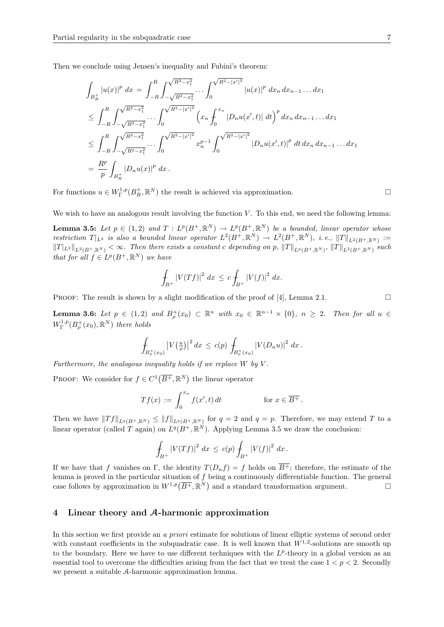Then we conclude using Jensen's inequality and Fubini's theorem:

$$
\int_{B_R^+} |u(x)|^p dx = \int_{-R}^R \int_{-\sqrt{R^2 - x_1^2}}^{\sqrt{R^2 - x_1^2}} \cdots \int_0^{\sqrt{R^2 - |x'|^2}} |u(x)|^p dx_n dx_{n-1} \dots dx_1
$$
\n
$$
\leq \int_{-R}^R \int_{-\sqrt{R^2 - x_1^2}}^{\sqrt{R^2 - x_1^2}} \cdots \int_0^{\sqrt{R^2 - |x'|^2}} \left( x_n \int_0^{x_n} |D_n u(x', t)| dt \right)^p dx_n dx_{n-1} \dots dx_1
$$
\n
$$
\leq \int_{-R}^R \int_{-\sqrt{R^2 - x_1^2}}^{\sqrt{R^2 - x_1^2}} \cdots \int_0^{\sqrt{R^2 - |x'|^2}} x_n^{p-1} \int_0^{\sqrt{R^2 - |x'|^2}} |D_n u(x', t)|^p dt dx_n dx_{n-1} \dots dx_1
$$
\n
$$
= \frac{R^p}{p} \int_{B_R^+} |D_n u(x)|^p dx.
$$

For functions  $u \in W^{1,p}_\Gamma(B_R^+, \mathbb{R}^N)$  the result is achieved via approximation.

We wish to have an analogous result involving the function  $V$ . To this end, we need the following lemma:

**Lemma 3.5:** Let  $p \in (1,2)$  and  $T : L^p(B^+, \mathbb{R}^N) \to L^p(B^+, \mathbb{R}^N)$  be a bounded, linear operator whose restriction  $T|_{L^2}$  is also a bounded linear operator  $L^2(B^+,\mathbb{R}^N) \to L^2(B^+,\mathbb{R}^N)$ , i.e.,  $||T||_{L^2(B^+,\mathbb{R}^N)} :=$  $||T||_{L^2(B^+,\mathbb{R}^N)} < \infty$ . Then there exists a constant c depending on p,  $||T||_{L^p(B^+,\mathbb{R}^N)}$ ,  $||T||_{L^2(B^+,\mathbb{R}^N)}$  such that for all  $f \in L^p(B^+, \mathbb{R}^N)$  we have

$$
\int_{B^+} |V(Tf)|^2 \ dx \leq c \int_{B^+} |V(f)|^2 \ dx.
$$

PROOF: The result is shown by a slight modification of the proof of [4], Lemma 2.1.  $\Box$ 

**Lemma 3.6:** Let  $p \in (1,2)$  and  $B_p^+(x_0) \subset \mathbb{R}^n$  with  $x_0 \in \mathbb{R}^{n-1} \times \{0\}$ ,  $n \geq 2$ . Then for all  $u \in$  $W^{1,p}_\Gamma(B^+_\rho(x_0),{\mathbb R}^N)$  there holds

$$
\int_{B_{\rho}^+(x_0)} |V(\frac{u}{\rho})|^2 dx \leq c(p) \int_{B_{\rho}^+(x_0)} |V(D_n u)|^2 dx.
$$

Furthermore, the analogous inequality holds if we replace  $W$  by  $V$ .

PROOF: We consider for  $f \in C^1(\overline{B^+}, \mathbb{R}^N)$  the linear operator

$$
Tf(x) := \int_0^{x_n} f(x',t) dt
$$
 for  $x \in \overline{B^+}$ .

Then we have  $||Tf||_{L^q(B^+, \mathbb{R}^N)} \leq ||f||_{L^q(B^+, \mathbb{R}^N)}$  for  $q = 2$  and  $q = p$ . Therefore, we may extend T to a linear operator (called T again) on  $L^q(B^+,\mathbb{R}^N)$ . Applying Lemma 3.5 we draw the conclusion:

$$
\int_{B^+} |V(Tf)|^2 dx \le c(p) \int_{B^+} |V(f)|^2 dx.
$$

If we have that f vanishes on Γ, the identity  $T(D_nf) = f$  holds on  $\overline{B^+}$ ; therefore, the estimate of the lemma is proved in the particular situation of  $f$  being a continuously differentiable function. The general case follows by approximation in  $W^{1,p}(\overline{B^+},\mathbb{R}^N)$  and a standard transformation argument.

#### 4 Linear theory and A-harmonic approximation

In this section we first provide an a priori estimate for solutions of linear elliptic systems of second order with constant coefficients in the subquadratic case. It is well known that  $W^{1,2}$ -solutions are smooth up to the boundary. Here we have to use different techniques with the  $L^p$ -theory in a global version as an essential tool to overcome the difficulties arising from the fact that we treat the case  $1 < p < 2$ . Secondly we present a suitable A-harmonic approximation lemma.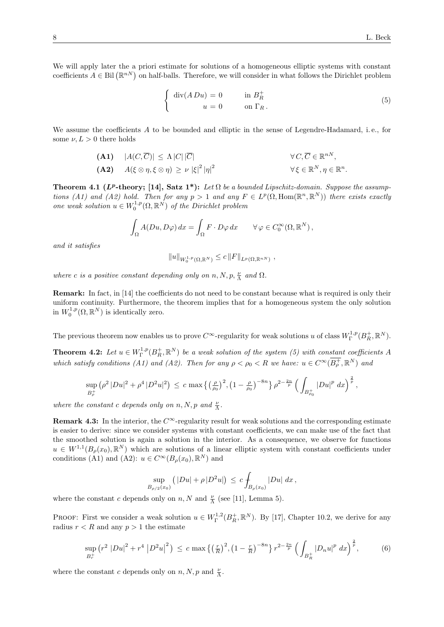We will apply later the a priori estimate for solutions of a homogeneous elliptic systems with constant coefficients  $A \in \text{Bil}(\mathbb{R}^{nN})$  on half-balls. Therefore, we will consider in what follows the Dirichlet problem

$$
\begin{cases} \operatorname{div}(A D u) = 0 & \text{in } B_R^+ \\ u = 0 & \text{on } \Gamma_R. \end{cases}
$$
 (5)

We assume the coefficients A to be bounded and elliptic in the sense of Legendre-Hadamard, i.e., for some  $\nu, L > 0$  there holds

(A1) 
$$
|A(C,\overline{C})| \le \Lambda |C||\overline{C}|
$$
  
\n(A2)  $A(\xi \otimes \eta, \xi \otimes \eta) \ge \nu |\xi|^2 |\eta|^2$   
\n $\forall C, \overline{C} \in \mathbb{R}^{n}, \eta \in \mathbb{R}^{n}$ 

**Theorem 4.1 (L<sup>p</sup>-theory; [14], Satz 1\*):** Let  $\Omega$  be a bounded Lipschitz-domain. Suppose the assumptions (A1) and (A2) hold. Then for any  $p > 1$  and any  $F \in L^p(\Omega, \text{Hom}(\mathbb{R}^n, \mathbb{R}^N))$  there exists exactly one weak solution  $u \in W_0^{1,p}(\Omega,\mathbb{R}^N)$  of the Dirichlet problem

$$
\int_{\Omega} A(Du, D\varphi) dx = \int_{\Omega} F \cdot D\varphi dx \qquad \forall \varphi \in C_0^{\infty}(\Omega, \mathbb{R}^N),
$$

and it satisfies

$$
||u||_{W_0^{1,p}(\Omega,\mathbb{R}^N)} \leq c ||F||_{L^p(\Omega,\mathbb{R}^{nN})},
$$

where c is a positive constant depending only on  $n, N, p, \frac{\nu}{\Lambda}$  and  $\Omega$ .

Remark: In fact, in [14] the coefficients do not need to be constant because what is required is only their uniform continuity. Furthermore, the theorem implies that for a homogeneous system the only solution in  $W_0^{1,p}(\Omega,\mathbb{R}^N)$  is identically zero.

The previous theorem now enables us to prove  $C^{\infty}$ -regularity for weak solutions u of class  $W^{1,p}_\Gamma(B_R^+,\mathbb{R}^N)$ .

**Theorem 4.2:** Let  $u \in W^{1,p}_\Gamma(B^+_R,\mathbb{R}^N)$  be a weak solution of the system (5) with constant coefficients A which satisfy conditions (A1) and (A2). Then for any  $\rho < \rho_0 < R$  we have:  $u \in C^{\infty}(\overline{B^+_{\rho}}, \mathbb{R}^N)$  and

$$
\sup_{B_{\rho}^+} \left(\rho^2 |Du|^2 + \rho^4 |D^2u|^2\right) \leq c \max\left\{\left(\frac{\rho}{\rho_0}\right)^2, \left(1 - \frac{\rho}{\rho_0}\right)^{-8n}\right\} \rho^{2 - \frac{2n}{p}} \left(\int_{B_{\rho_0}^+} |Du|^p dx\right)^{\frac{2}{p}},
$$

where the constant c depends only on  $n, N, p$  and  $\frac{\nu}{\Lambda}$ .

**Remark 4.3:** In the interior, the  $C^{\infty}$ -regularity result for weak solutions and the corresponding estimate is easier to derive: since we consider systems with constant coefficients, we can make use of the fact that the smoothed solution is again a solution in the interior. As a consequence, we observe for functions  $u \in W^{1,1}(B_\rho(x_0),\mathbb{R}^N)$  which are solutions of a linear elliptic system with constant coefficients under conditions (A1) and (A2):  $u \in C^{\infty}(B_{\rho}(x_0), \mathbb{R}^N)$  and

$$
\sup_{B_{\rho/2}(x_0)} (|Du| + \rho |D^2u|) \, \leq \, c \int_{B_{\rho}(x_0)} |Du| \, dx \, ,
$$

where the constant c depends only on n, N and  $\frac{\nu}{\Lambda}$  (see [11], Lemma 5).

PROOF: First we consider a weak solution  $u \in W^{1,2}_\Gamma(B^+_R,\mathbb{R}^N)$ . By [17], Chapter 10.2, we derive for any radius  $r < R$  and any  $p > 1$  the estimate

$$
\sup_{B_r^+} \left( r^2 |Du|^2 + r^4 |D^2u|^2 \right) \le c \max \left\{ \left( \frac{r}{R} \right)^2, \left( 1 - \frac{r}{R} \right)^{-8n} \right\} r^{2 - \frac{2n}{p}} \left( \int_{B_R^+} |D_n u|^p dx \right)^{\frac{2}{p}},\tag{6}
$$

where the constant c depends only on  $n, N, p$  and  $\frac{\nu}{\Lambda}$ .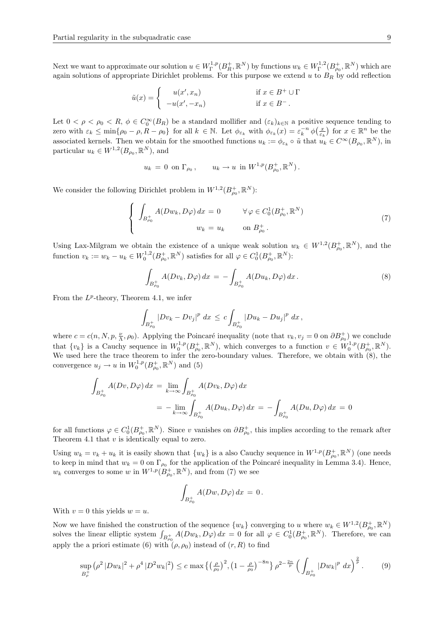Next we want to approximate our solution  $u \in W^{1,p}_\Gamma(B_R^+, \mathbb{R}^N)$  by functions  $w_k \in W^{1,2}_\Gamma(B_{\rho_0}^+, \mathbb{R}^N)$  which are again solutions of appropriate Dirichlet problems. For this purpose we extend  $u$  to  $B_R$  by odd reflection

$$
\tilde{u}(x) = \begin{cases}\n u(x', x_n) & \text{if } x \in B^+ \cup \Gamma \\
 -u(x', -x_n) & \text{if } x \in B^-.\n\end{cases}
$$

Let  $0 < \rho < \rho_0 < R$ ,  $\phi \in C_0^{\infty}(B_R)$  be a standard mollifier and  $(\varepsilon_k)_{k \in \mathbb{N}}$  a positive sequence tending to zero with  $\varepsilon_k \le \min\{\rho_0 - \rho, R - \rho_0\}$  for all  $k \in \mathbb{N}$ . Let  $\phi_{\varepsilon_k}$  with  $\phi_{\varepsilon_k}(x) = \varepsilon_k^{-n} \phi\left(\frac{x}{\varepsilon_k}\right)$  for  $x \in \mathbb{R}^n$  be the associated kernels. Then we obtain for the smoothed functions  $u_k := \phi_{\varepsilon_k} \circ \tilde{u}$  that  $u_k \in C^{\infty}(B_{\rho_0}, \mathbb{R}^N)$ , in particular  $u_k \in W^{1,2}(B_{\rho_0}, \mathbb{R}^N)$ , and

$$
u_k = 0 \text{ on } \Gamma_{\rho_0}, \qquad u_k \to u \text{ in } W^{1,p}(B^+_{\rho_0}, \mathbb{R}^N).
$$

We consider the following Dirichlet problem in  $W^{1,2}(B_{\rho_0}^+, \mathbb{R}^N)$ :

$$
\begin{cases}\n\int_{B_{\rho_0}^+} A(Dw_k, D\varphi) dx = 0 & \forall \varphi \in C_0^1(B_{\rho_0}^+, \mathbb{R}^N) \\
w_k = u_k & \text{on } B_{\rho_0}^+.\n\end{cases}
$$
\n(7)

Using Lax-Milgram we obtain the existence of a unique weak solution  $w_k \in W^{1,2}(B^+_{\rho_0}, \mathbb{R}^N)$ , and the function  $v_k := w_k - u_k \in W_0^{1,2}(B_{\rho_0}^+, \mathbb{R}^N)$  satisfies for all  $\varphi \in C_0^1(B_{\rho_0}^+, \mathbb{R}^N)$ :

$$
\int_{B_{\rho_0}^+} A(Dv_k, D\varphi) \, dx = - \int_{B_{\rho_0}^+} A(Du_k, D\varphi) \, dx \, . \tag{8}
$$

From the  $L^p$ -theory, Theorem 4.1, we infer

$$
\int_{B_{\rho_0}^+} |Dv_k - Dv_j|^p \ dx \leq c \int_{B_{\rho_0}^+} |Du_k - Du_j|^p \ dx \,
$$

where  $c = c(n, N, p, \frac{\nu}{\Lambda}, \rho_0)$ . Applying the Poincaré inequality (note that  $v_k, v_j = 0$  on  $\partial B_{\rho_0}^+$ ) we conclude that  $\{v_k\}$  is a Cauchy sequence in  $W_0^{1,p}(B_{\rho_0}^+, \mathbb{R}^N)$ , which converges to a function  $v \in W_0^{1,p}(B_{\rho_0}^+, \mathbb{R}^N)$ . We used here the trace theorem to infer the zero-boundary values. Therefore, we obtain with (8), the convergence  $u_j \to u$  in  $W_0^{1,p}(B_{\rho_0}^+, \mathbb{R}^N)$  and (5)

$$
\int_{B_{\rho_0}^+} A(Dv, D\varphi) dx = \lim_{k \to \infty} \int_{B_{\rho_0}^+} A(Dv_k, D\varphi) dx
$$
  
= 
$$
- \lim_{k \to \infty} \int_{B_{\rho_0}^+} A(Du_k, D\varphi) dx = - \int_{B_{\rho_0}^+} A(Du, D\varphi) dx = 0
$$

for all functions  $\varphi \in C_0^1(B_{\rho_0}^+, \mathbb{R}^N)$ . Since v vanishes on  $\partial B_{\rho_0}^+$ , this implies according to the remark after Theorem 4.1 that  $v$  is identically equal to zero.

Using  $w_k = v_k + u_k$  it is easily shown that  $\{w_k\}$  is a also Cauchy sequence in  $W^{1,p}(B^+_{\rho_0}, \mathbb{R}^N)$  (one needs to keep in mind that  $w_k = 0$  on  $\Gamma_{\rho_0}$  for the application of the Poincaré inequality in Lemma 3.4). Hence,  $w_k$  converges to some w in  $W^{1,p}(B_{\rho_0}^+, \mathbb{R}^N)$ , and from (7) we see

$$
\int_{B_{\rho_0}^+} A(Dw, D\varphi) dx = 0.
$$

With  $v = 0$  this yields  $w = u$ .

Now we have finished the construction of the sequence  $\{w_k\}$  converging to u where  $w_k \in W^{1,2}(B_{\rho_0}^+, \mathbb{R}^N)$ solves the linear elliptic system  $\int_{B_{\rho_0}^+} A(Dw_k, D\varphi) dx = 0$  for all  $\varphi \in C_0^1(B_{\rho_0}^+, \mathbb{R}^N)$ . Therefore, we can apply the a priori estimate (6) with  $(\rho, \rho_0)$  instead of  $(r, R)$  to find

$$
\sup_{B_{\rho}^+} \left( \rho^2 |Dw_k|^2 + \rho^4 |D^2 w_k|^2 \right) \le c \max \left\{ \left( \frac{\rho}{\rho_0} \right)^2, \left( 1 - \frac{\rho}{\rho_0} \right)^{-8n} \right\} \rho^{2 - \frac{2n}{p}} \left( \int_{B_{\rho_0}^+} |Dw_k|^p \ dx \right)^{\frac{2}{p}}. \tag{9}
$$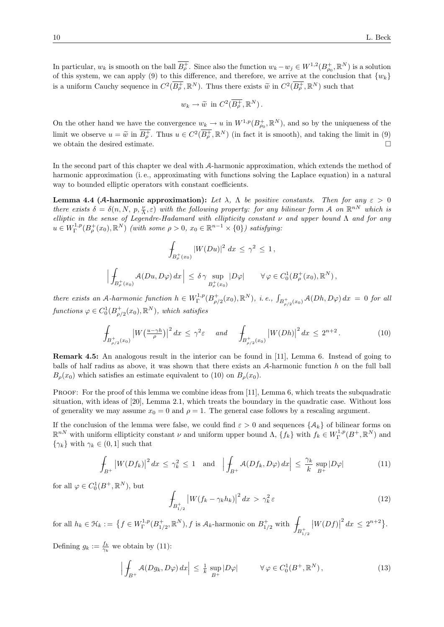In particular,  $w_k$  is smooth on the ball  $\overline{B^+_{\rho}}$ . Since also the function  $w_k - w_j \in W^{1,2}(B^+_{\rho_0}, \mathbb{R}^N)$  is a solution of this system, we can apply (9) to this difference, and therefore, we arrive at the conclusion that  $\{w_k\}$ is a uniform Cauchy sequence in  $C^2(\overline{B^+_{\rho}}, \mathbb{R}^N)$ . Thus there exists  $\widetilde{w}$  in  $C^2(\overline{B^+_{\rho}}, \mathbb{R}^N)$  such that

$$
w_k \to \widetilde{w}
$$
 in  $C^2(\overline{B_{\rho}^+}, \mathbb{R}^N)$ .

On the other hand we have the convergence  $w_k \to u$  in  $W^{1,p}(B^+_{\rho_0}, \mathbb{R}^N)$ , and so by the uniqueness of the limit we observe  $u = \tilde{w}$  in  $\overline{B_p^+}$ . Thus  $u \in C^2(\overline{B_p^+}, \mathbb{R}^N)$  (in fact it is smooth), and taking the limit in (9) we obtain the desired estimate.

In the second part of this chapter we deal with A-harmonic approximation, which extends the method of harmonic approximation (i. e., approximating with functions solving the Laplace equation) in a natural way to bounded elliptic operators with constant coefficients.

**Lemma 4.4 (A-harmonic approximation):** Let  $\lambda$ ,  $\Lambda$  be positive constants. Then for any  $\varepsilon > 0$ there exists  $\delta = \delta(n, N, p, \frac{\nu}{\Lambda}, \varepsilon)$  with the following property: for any bilinear form A on  $\mathbb{R}^{nN}$  which is elliptic in the sense of Legendre-Hadamard with ellipticity constant  $\nu$  and upper bound  $\Lambda$  and for any  $u \in W^{1,p}_\Gamma(B^+_\rho(x_0), \mathbb{R}^N)$  (with some  $\rho > 0$ ,  $x_0 \in \mathbb{R}^{n-1} \times \{0\}$ ) satisfying:

$$
\int_{B_{\rho}^+(x_0)} |W(Du)|^2 \ dx \leq \gamma^2 \leq 1,
$$

$$
\Big|\int_{B_{\rho}^+(x_0)} A(Du,D\varphi) \, dx\, \Big| \leq \delta \gamma \sup_{B_{\rho}^+(x_0)} |D\varphi| \qquad \forall \varphi \in C_0^1(B_{\rho}^+(x_0),{\mathbb R}^N),
$$

there exists an A-harmonic function  $h \in W^{1,p}_\Gamma(B^+_{\rho/2}(x_0), \mathbb{R}^N)$ , i.e.,  $\int_{B^+_{\rho/2}(x_0)} \mathcal{A}(Dh, D\varphi) dx = 0$  for all functions  $\varphi \in C_0^1(B_{\rho/2}^+(x_0), \mathbb{R}^N)$ , which satisfies

$$
\int_{B_{\rho/2}^+(x_0)} |W(\frac{u-\gamma h}{\rho})|^2 dx \le \gamma^2 \varepsilon \quad \text{and} \quad \int_{B_{\rho/2}^+(x_0)} |W(Dh)|^2 dx \le 2^{n+2} \,. \tag{10}
$$

Remark 4.5: An analogous result in the interior can be found in [11], Lemma 6. Instead of going to balls of half radius as above, it was shown that there exists an  $A$ -harmonic function h on the full ball  $B<sub>o</sub>(x<sub>0</sub>)$  which satisfies an estimate equivalent to (10) on  $B<sub>o</sub>(x<sub>0</sub>)$ .

PROOF: For the proof of this lemma we combine ideas from [11], Lemma 6, which treats the subquadratic situation, with ideas of [20], Lemma 2.1, which treats the boundary in the quadratic case. Without loss of generality we may assume  $x_0 = 0$  and  $\rho = 1$ . The general case follows by a rescaling argument.

If the conclusion of the lemma were false, we could find  $\varepsilon > 0$  and sequences  $\{\mathcal{A}_k\}$  of bilinear forms on  $\mathbb{R}^{nN}$  with uniform ellipticity constant  $\nu$  and uniform upper bound  $\Lambda$ ,  $\{f_k\}$  with  $f_k \in W^{1,p}_\Gamma(B^+, \mathbb{R}^N)$  and  $\{\gamma_k\}$  with  $\gamma_k \in (0,1]$  such that

$$
\int_{B^+} \left| W(Df_k) \right|^2 dx \le \gamma_k^2 \le 1 \quad \text{and} \quad \left| \int_{B^+} \mathcal{A}(Df_k, D\varphi) dx \right| \le \frac{\gamma_k}{k} \sup_{B^+} |D\varphi| \tag{11}
$$

for all  $\varphi \in C_0^1(B^+,\mathbb{R}^N)$ , but

$$
\int_{B_{1/2}^+} \left| W(f_k - \gamma_k h_k) \right|^2 dx > \gamma_k^2 \varepsilon \tag{12}
$$

for all  $h_k \in \mathfrak{H}_k := \left\{ f \in W^{1,p}_\Gamma(B^+_{1/2}, \mathbb{R}^N), f \text{ is } A_k\text{-harmonic on } B^+_{1/2} \text{ with }\right.$  $B_{1/2}^{+}$  $|W(Df)|$  $2^{n+2}$ .

Defining  $g_k := \frac{f_k}{\gamma_k}$  we obtain by (11):

$$
\left| \int_{B^+} \mathcal{A}(Dg_k, D\varphi) \, dx \right| \le \frac{1}{k} \sup_{B^+} |D\varphi| \qquad \forall \varphi \in C_0^1(B^+, \mathbb{R}^N), \tag{13}
$$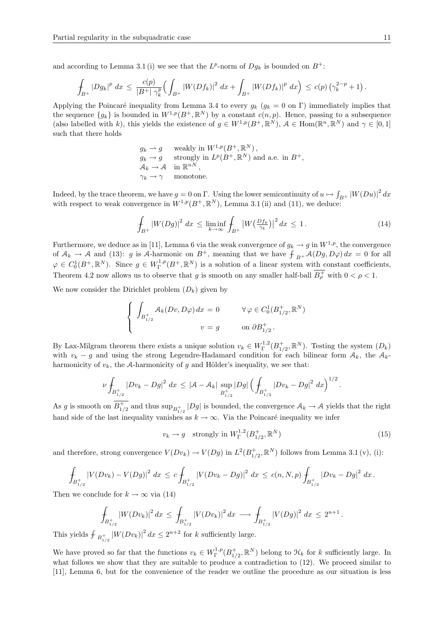and according to Lemma 3.1 (i) we see that the  $L^p$ -norm of  $Dg_k$  is bounded on  $B^+$ :

$$
\int_{B^+} |Dg_k|^p \ dx \leq \frac{c(p)}{|B^+| \ \gamma_k^p} \Big( \int_{B^+} |W(Df_k)|^2 \ dx + \int_{B^+} |W(Df_k)|^p \ dx \Big) \leq c(p) \left( \gamma_k^{2-p} + 1 \right).
$$

Applying the Poincaré inequality from Lemma 3.4 to every  $g_k$  ( $g_k = 0$  on Γ) immediately implies that the sequence  ${g_k}$  is bounded in  $W^{1,p}(B^+, \mathbb{R}^N)$  by a constant  $c(n, p)$ . Hence, passing to a subsequence (also labelled with k), this yields the existence of  $g \in W^{1,p}(B^+, \mathbb{R}^N)$ ,  $\mathcal{A} \in \text{Hom}(\mathbb{R}^n, \mathbb{R}^N)$  and  $\gamma \in [0, 1]$ such that there holds

$$
g_k \to g
$$
 weakly in  $W^{1,p}(B^+, \mathbb{R}^N)$ ,  
\n $g_k \to g$  strongly in  $L^p(B^+, \mathbb{R}^N)$  and a.e. in  $B^+$ ,  
\n $A_k \to A$  in  $\mathbb{R}^{nN}$ ,  
\n $\gamma_k \to \gamma$  monotone.

Indeed, by the trace theorem, we have  $g = 0$  on  $\Gamma$ . Using the lower semicontinuity of  $u \mapsto \int_{B^+} |W(Du)|^2 dx$ with respect to weak convergence in  $W^{1,p}(B^+, \mathbb{R}^N)$ , Lemma 3.1 (ii) and (11), we deduce:

$$
\int_{B^+} |W(Dg)|^2 \, dx \le \liminf_{k \to \infty} \int_{B^+} |W\left(\frac{Df_k}{\gamma_k}\right)|^2 \, dx \le 1. \tag{14}
$$

Furthermore, we deduce as in [11], Lemma 6 via the weak convergence of  $g_k \to g$  in  $W^{1,p}$ , the convergence of  $A_k \to A$  and (13): g is A-harmonic on  $B^+$ , meaning that we have  $\int_{B^+} A(Dg, D\varphi) dx = 0$  for all  $\varphi \in C_0^1(B^+, \mathbb{R}^N)$ . Since  $g \in W^{1,p}_\Gamma(B^+, \mathbb{R}^N)$  is a solution of a linear system with constant coefficients, Theorem 4.2 now allows us to observe that g is smooth on any smaller half-ball  $\overline{B^+_{\rho}}$  with  $0 < \rho < 1$ .

We now consider the Dirichlet problem  $(D_k)$  given by

$$
\begin{cases}\n\int_{B_{1/2}^+} \mathcal{A}_k(Dv, D\varphi) dx = 0 & \forall \varphi \in C_0^1(B_{1/2}^+, \mathbb{R}^N) \\
v = g & \text{on } \partial B_{1/2}^+.\n\end{cases}
$$

By Lax-Milgram theorem there exists a unique solution  $v_k \in W^{1,2}_\Gamma(B^+_{1/2}, \mathbb{R}^N)$ . Testing the system  $(D_k)$ with  $v_k - g$  and using the strong Legendre-Hadamard condition for each bilinear form  $A_k$ , the  $A_k$ harmonicity of  $v_k$ , the A-harmonicity of g and Hölder's inequality, we see that:

$$
\nu \int_{B_{1/2}^+} |Dv_k - Dg|^2 \ dx \leq |\mathcal{A} - \mathcal{A}_k| \sup_{B_{1/2}^+} |Dg| \left( \int_{B_{1/2}^+} |Dv_k - Dg|^2 \ dx \right)^{1/2}
$$

As g is smooth on  $\overline{B_{1/2}^+}$  and thus  $\sup_{B_{1/2}^+} |Dg|$  is bounded, the convergence  $\mathcal{A}_k \to \mathcal{A}$  yields that the right hand side of the last inequality vanishes as  $k \to \infty$ . Via the Poincaré inequality we infer

$$
v_k \to g \quad \text{strongly in } W^{1,2}_\Gamma(B^+_{1/2}, \mathbb{R}^N) \tag{15}
$$

.

and therefore, strong convergence  $V(Dv_k) \to V(Dg)$  in  $L^2(B_{1/2}^+, \mathbb{R}^N)$  follows from Lemma 3.1 (v), (i):

$$
\int_{B_{1/2}^+} |V(Dv_k) - V(Dg)|^2 dx \le c \int_{B_{1/2}^+} |V(Dv_k - Dg)|^2 dx \le c(n, N, p) \int_{B_{1/2}^+} |Dv_k - Dg|^2 dx.
$$

Then we conclude for  $k \to \infty$  via (14)

$$
\int_{B_{1/2}^+} |W(Dv_k)|^2 dx \le \int_{B_{1/2}^+} |V(Dv_k)|^2 dx \longrightarrow \int_{B_{1/2}^+} |V(Dg)|^2 dx \le 2^{n+1}.
$$
  
This yields  $\int_{B_{1/2}^+} |W(Dv_k)|^2 dx \le 2^{n+2}$  for k sufficiently large.

We have proved so far that the functions  $v_k \in W^{1,p}_\Gamma(B^+_{1/2}, \mathbb{R}^N)$  belong to  $\mathcal{H}_k$  for k sufficiently large. In what follows we show that they are suitable to produce a contradiction to  $(12)$ . We proceed similar to [11], Lemma 6, but for the convenience of the reader we outline the procedure as our situation is less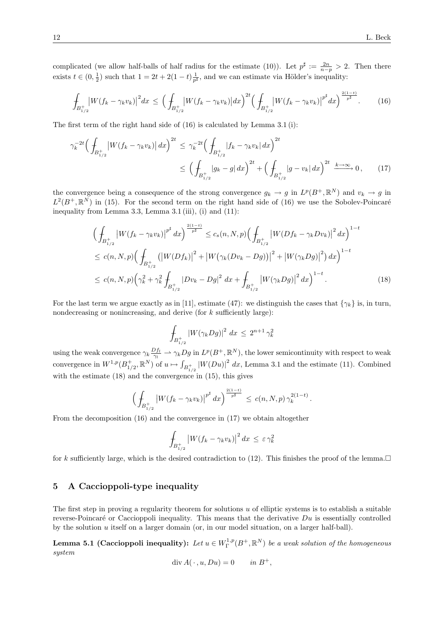complicated (we allow half-balls of half radius for the estimate (10)). Let  $p^{\sharp} := \frac{2n}{n-p} > 2$ . Then there exists  $t \in (0, \frac{1}{2})$  such that  $1 = 2t + 2(1-t) \frac{1}{p^{\sharp}}$ , and we can estimate via Hölder's inequality:

$$
\int_{B_{1/2}^+} \left| W(f_k - \gamma_k v_k) \right|^2 dx \le \left( \int_{B_{1/2}^+} \left| W(f_k - \gamma_k v_k) \right| dx \right)^{2t} \left( \int_{B_{1/2}^+} \left| W(f_k - \gamma_k v_k) \right|^{p^\sharp} dx \right)^{\frac{2(1-t)}{p^\sharp}}.
$$
 (16)

The first term of the right hand side of (16) is calculated by Lemma 3.1 (i):

$$
\gamma_k^{-2t} \Big( \int_{B_{1/2}^+} |W(f_k - \gamma_k v_k)| \, dx \Big)^{2t} \le \gamma_k^{-2t} \Big( \int_{B_{1/2}^+} |f_k - \gamma_k v_k| \, dx \Big)^{2t} \le \Big( \int_{B_{1/2}^+} |g_k - g| \, dx \Big)^{2t} + \Big( \int_{B_{1/2}^+} |g - v_k| \, dx \Big)^{2t} \xrightarrow{k \to \infty} 0 \,, \tag{17}
$$

the convergence being a consequence of the strong convergence  $g_k \to g$  in  $L^p(B^+, \mathbb{R}^N)$  and  $v_k \to g$  in  $L^2(B^+,\mathbb{R}^N)$  in (15). For the second term on the right hand side of (16) we use the Sobolev-Poincaré inequality from Lemma 3.3, Lemma 3.1 (iii), (i) and (11):

$$
\left(\int_{B_{1/2}^{+}} \left|W(f_k - \gamma_k v_k)\right|^{p^{\sharp}} dx\right)^{\frac{2(1-t)}{p^{\sharp}}} \le c_s(n, N, p) \left(\int_{B_{1/2}^{+}} \left|W(Df_k - \gamma_k D v_k)\right|^2 dx\right)^{1-t}
$$
\n
$$
\le c(n, N, p) \left(\int_{B_{1/2}^{+}} \left(\left|W(Df_k)\right|^2 + \left|W(\gamma_k (Dv_k - Dg))\right|^2 + \left|W(\gamma_k Dg)\right|^2\right) dx\right)^{1-t}
$$
\n
$$
\le c(n, N, p) \left(\gamma_k^2 + \gamma_k^2 \int_{B_{1/2}^{+}} |Dv_k - Dg|^2 dx + \int_{B_{1/2}^{+}} \left|W(\gamma_k Dg)\right|^2 dx\right)^{1-t}.
$$
\n(18)

For the last term we argue exactly as in [11], estimate (47): we distinguish the cases that  $\{\gamma_k\}$  is, in turn, nondecreasing or nonincreasing, and derive (for  $k$  sufficiently large):

$$
\int_{B_{1/2}^+} |W(\gamma_k Dg)|^2 \ dx \le 2^{n+1} \gamma_k^2
$$

using the weak convergence  $\gamma_k \frac{Df_l}{\gamma_l} \rightharpoonup \gamma_k Dg$  in  $L^p(B^+,\mathbb{R}^N)$ , the lower semicontinuity with respect to weak convergence in  $W^{1,p}(B_{1/2}^+, \mathbb{R}^N)$  of  $u \mapsto \int_{B_{1/2}^+} |W(Du)|^2 dx$ , Lemma 3.1 and the estimate (11). Combined with the estimate  $(18)$  and the convergence in  $(15)$ , this gives

$$
\left(\int_{B_{1/2}^+} \left|W(f_k - \gamma_k v_k)\right|^{p^{\sharp}} dx\right)^{\frac{2(1-t)}{p^{\sharp}}} \le c(n, N, p) \gamma_k^{2(1-t)}.
$$

From the decomposition (16) and the convergence in (17) we obtain altogether

$$
\int_{B_{1/2}^+} \left| W(f_k - \gamma_k v_k) \right|^2 dx \le \varepsilon \gamma_k^2
$$

for k sufficiently large, which is the desired contradiction to (12). This finishes the proof of the lemma.  $\Box$ 

### 5 A Caccioppoli-type inequality

The first step in proving a regularity theorem for solutions  $u$  of elliptic systems is to establish a suitable reverse-Poincaré or Caccioppoli inequality. This means that the derivative  $Du$  is essentially controlled by the solution u itself on a larger domain (or, in our model situation, on a larger half-ball).

**Lemma 5.1 (Caccioppoli inequality):** Let  $u \in W^{1,p}_\Gamma(B^+, \mathbb{R}^N)$  be a weak solution of the homogeneous system

$$
\operatorname{div} A(\,\cdot\,,u,Du) = 0 \quad in \ B^+,
$$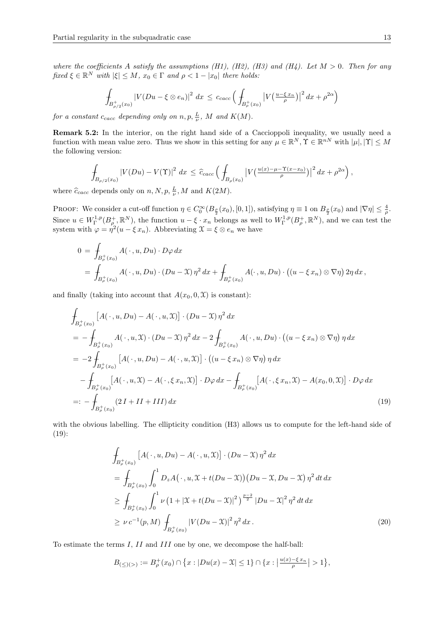where the coefficients A satisfy the assumptions (H1), (H2), (H3) and (H4). Let  $M > 0$ . Then for any fixed  $\xi \in \mathbb{R}^N$  with  $|\xi| \leq M$ ,  $x_0 \in \Gamma$  and  $\rho < 1 - |x_0|$  there holds:

$$
\int_{B_{\rho/2}^+(x_0)} |V(Du - \xi \otimes e_n)|^2 \ dx \leq c_{cacc} \left( \int_{B_{\rho}^+(x_0)} |V(\frac{u - \xi x_n}{\rho})|^2 \ dx + \rho^{2\alpha} \right)
$$

for a constant  $c_{cacc}$  depending only on  $n, p, \frac{L}{\nu}$ , M and  $K(M)$ .

Remark 5.2: In the interior, on the right hand side of a Caccioppoli inequality, we usually need a function with mean value zero. Thus we show in this setting for any  $\mu \in \mathbb{R}^N$ ,  $\Upsilon \in \mathbb{R}^{nN}$  with  $|\mu|, |\Upsilon| \leq M$ the following version:

$$
\int_{B_{\rho/2}(x_0)} |V(Du) - V(\Upsilon)|^2 dx \leq \hat{c}_{cacc} \left( \int_{B_{\rho}(x_0)} |V(\frac{u(x) - \mu - \Upsilon(x - x_0)}{\rho})|^2 dx + \rho^{2\alpha} \right),
$$

where  $\hat{c}_{cacc}$  depends only on  $n, N, p, \frac{L}{\nu}, M$  and  $K(2M)$ .

PROOF: We consider a cut-off function  $\eta \in C_0^{\infty}(B_{\frac{\rho}{2}}(x_0), [0,1])$ , satisfying  $\eta \equiv 1$  on  $B_{\frac{\rho}{2}}(x_0)$  and  $|\nabla \eta| \leq \frac{4}{\rho}$ . Since  $u \in W^{1,p}_\Gamma(B^+_\rho,\mathbb{R}^N)$ , the function  $u - \xi \cdot x_n$  belongs as well to  $W^{1,p}_\Gamma(B^+_\rho,\mathbb{R}^N)$ , and we can test the system with  $\varphi = \eta^2(u - \xi x_n)$ . Abbreviating  $\mathfrak{X} = \xi \otimes e_n$  we have

$$
0 = \int_{B_{\rho}^+(x_0)} A(\cdot, u, Du) \cdot D\varphi \, dx
$$
  
= 
$$
\int_{B_{\rho}^+(x_0)} A(\cdot, u, Du) \cdot (Du - \mathcal{X}) \eta^2 \, dx + \int_{B_{\rho}^+(x_0)} A(\cdot, u, Du) \cdot ((u - \xi x_n) \otimes \nabla \eta) \, 2\eta \, dx,
$$

and finally (taking into account that  $A(x_0, 0, \mathfrak{X})$  is constant):

$$
\int_{B_{\rho}^{+}(x_{0})} \left[ A(\cdot, u, Du) - A(\cdot, u, \mathfrak{X}) \right] \cdot (Du - \mathfrak{X}) \eta^{2} dx
$$
\n
$$
= - \int_{B_{\rho}^{+}(x_{0})} A(\cdot, u, \mathfrak{X}) \cdot (Du - \mathfrak{X}) \eta^{2} dx - 2 \int_{B_{\rho}^{+}(x_{0})} A(\cdot, u, Du) \cdot ((u - \xi x_{n}) \otimes \nabla \eta) \eta dx
$$
\n
$$
= -2 \int_{B_{\rho}^{+}(x_{0})} \left[ A(\cdot, u, Du) - A(\cdot, u, \mathfrak{X}) \right] \cdot ((u - \xi x_{n}) \otimes \nabla \eta) \eta dx
$$
\n
$$
- \int_{B_{\rho}^{+}(x_{0})} \left[ A(\cdot, u, \mathfrak{X}) - A(\cdot, \xi x_{n}, \mathfrak{X}) \right] \cdot D\varphi dx - \int_{B_{\rho}^{+}(x_{0})} \left[ A(\cdot, \xi x_{n}, \mathfrak{X}) - A(x_{0}, 0, \mathfrak{X}) \right] \cdot D\varphi dx
$$
\n
$$
=: - \int_{B_{\rho}^{+}(x_{0})} (2I + II + III) dx \tag{19}
$$

with the obvious labelling. The ellipticity condition  $(H3)$  allows us to compute for the left-hand side of (19):

$$
\int_{B_{\rho}^{+}(x_{0})} \left[ A(\cdot, u, Du) - A(\cdot, u, \mathfrak{X}) \right] \cdot (Du - \mathfrak{X}) \eta^{2} dx
$$
\n
$$
= \int_{B_{\rho}^{+}(x_{0})} \int_{0}^{1} D_{z} A(\cdot, u, \mathfrak{X} + t(Du - \mathfrak{X})) (Du - \mathfrak{X}, Du - \mathfrak{X}) \eta^{2} dt dx
$$
\n
$$
\geq \int_{B_{\rho}^{+}(x_{0})} \int_{0}^{1} \nu \left( 1 + |\mathfrak{X} + t(Du - \mathfrak{X})|^{2} \right)^{\frac{p-2}{2}} |Du - \mathfrak{X}|^{2} \eta^{2} dt dx
$$
\n
$$
\geq \nu c^{-1}(p, M) \int_{B_{\rho}^{+}(x_{0})} |V(Du - \mathfrak{X})|^{2} \eta^{2} dx.
$$
\n(20)

To estimate the terms I, II and III one by one, we decompose the half-ball:

$$
B_{(\le)(>)} := B_{\rho}^+(x_0) \cap \{x : |Du(x) - \mathcal{X}| \le 1\} \cap \{x : \left|\frac{u(x) - \xi x_n}{\rho}\right| > 1\},\
$$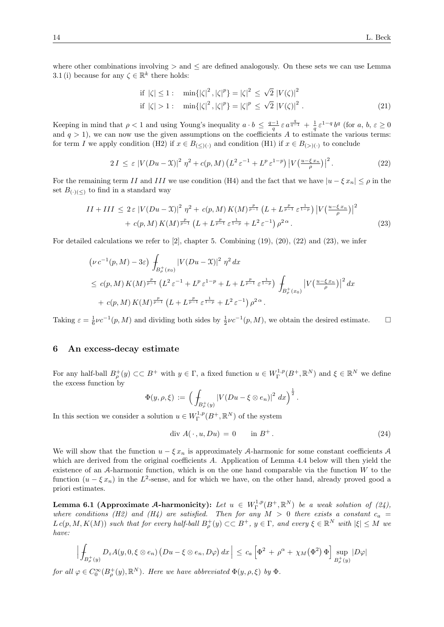where other combinations involving  $\geq$  and  $\leq$  are defined analogously. On these sets we can use Lemma 3.1 (i) because for any  $\zeta \in \mathbb{R}^k$  there holds:

if 
$$
|\zeta| \le 1
$$
:  $\min\{|\zeta|^2, |\zeta|^p\} = |\zeta|^2 \le \sqrt{2} |V(\zeta)|^2$   
if  $|\zeta| > 1$ :  $\min\{|\zeta|^2, |\zeta|^p\} = |\zeta|^p \le \sqrt{2} |V(\zeta)|^2$ . (21)

Keeping in mind that  $\rho < 1$  and using Young's inequality  $a \cdot b \leq \frac{q-1}{q} \varepsilon a^{\frac{q}{q-1}} + \frac{1}{q} \varepsilon^{1-q} b^q$  (for  $a, b, \varepsilon \geq 0$ and  $q > 1$ , we can now use the given assumptions on the coefficients A to estimate the various terms: for term I we apply condition (H2) if  $x \in B_{(\le)(\cdot)}$  and condition (H1) if  $x \in B_{(\ge)(\cdot)}$  to conclude

$$
2I \leq \varepsilon \left| V(Du - \mathfrak{X}) \right|^2 \eta^2 + c(p, M) \left( L^2 \varepsilon^{-1} + L^p \varepsilon^{1-p} \right) \left| V\left(\frac{u - \xi x_n}{\rho}\right) \right|^2. \tag{22}
$$

For the remaining term II and III we use condition (H4) and the fact that we have  $|u - \xi x_n| \le \rho$  in the set  $B_{(\cdot)(\le)}$  to find in a standard way

$$
II + III \leq 2\varepsilon |V(Du - \mathfrak{X})|^2 \eta^2 + c(p, M) K(M)^{\frac{p}{p-1}} \left( L + L^{\frac{p}{p-1}} \varepsilon^{\frac{1}{1-p}} \right) |V(\frac{u - \varepsilon x_n}{\rho})|^2
$$
  
+  $c(p, M) K(M)^{\frac{p}{p-1}} \left( L + L^{\frac{p}{p-1}} \varepsilon^{\frac{1}{1-p}} + L^2 \varepsilon^{-1} \right) \rho^{2\alpha}.$  (23)

For detailed calculations we refer to  $[2]$ , chapter 5. Combining  $(19)$ ,  $(20)$ ,  $(22)$  and  $(23)$ , we infer

$$
\begin{split} & \left( \nu \, c^{-1}(p, M) - 3\varepsilon \right) \int_{B^+_{\rho}(x_0)} \left| V(Du - \mathfrak{X}) \right|^2 \, \eta^2 \, dx \\ & \leq c(p, M) \, K(M)^{\frac{p}{p-1}} \left( L^2 \, \varepsilon^{-1} + L^p \, \varepsilon^{1-p} + L + L^{\frac{p}{p-1}} \, \varepsilon^{\frac{1}{1-p}} \right) \, \int_{B^+_{\rho}(x_0)} \left| V\left(\frac{u - \xi \, x_n}{\rho}\right) \right|^2 \, dx \\ & + c(p, M) \, K(M)^{\frac{p}{p-1}} \left( L + L^{\frac{p}{p-1}} \, \varepsilon^{\frac{1}{1-p}} + L^2 \, \varepsilon^{-1} \right) \rho^{2 \, \alpha} \, . \end{split}
$$

Taking  $\varepsilon = \frac{1}{6}\nu c^{-1}(p, M)$  and dividing both sides by  $\frac{1}{2}\nu c^{-1}(p, M)$ , we obtain the desired estimate.  $\square$ 

#### 6 An excess-decay estimate

For any half-ball  $B_{\rho}^+(y) \subset\subset B^+$  with  $y \in \Gamma$ , a fixed function  $u \in W^{1,p}_\Gamma(B^+, \mathbb{R}^N)$  and  $\xi \in \mathbb{R}^N$  we define the excess function by

$$
\Phi(y,\rho,\xi) := \left( \int_{B_{\rho}^+(y)} |V(Du - \xi \otimes e_n)|^2 \ dx \right)^{\frac{1}{2}}.
$$

In this section we consider a solution  $u \in W^{1,p}_\Gamma(B^+,\mathbb R^N)$  of the system

$$
\text{div } A(\cdot, u, Du) = 0 \qquad \text{in } B^+ \,. \tag{24}
$$

We will show that the function  $u - \xi x_n$  is approximately A-harmonic for some constant coefficients A which are derived from the original coefficients A. Application of Lemma 4.4 below will then yield the existence of an  $A$ -harmonic function, which is on the one hand comparable via the function  $W$  to the function  $(u - \xi x_n)$  in the L<sup>2</sup>-sense, and for which we have, on the other hand, already proved good a priori estimates.

**Lemma 6.1 (Approximate A-harmonicity):** Let  $u \in W^{1,p}_\Gamma(B^+, \mathbb{R}^N)$  be a weak solution of (24), where conditions (H2) and (H4) are satisfied. Then for any  $M > 0$  there exists a constant  $c_a =$  $L c(p, M, K(M))$  such that for every half-ball  $B^+_{\rho}(y) \subset\subset B^+$ ,  $y \in \Gamma$ , and every  $\xi \in \mathbb{R}^N$  with  $|\xi| \leq M$  we have:

$$
\left| \int_{B_{\rho}^+(y)} D_z A(y,0,\xi \otimes e_n) \left( Du - \xi \otimes e_n, D\varphi \right) dx \right| \leq c_a \left[ \Phi^2 + \rho^{\alpha} + \chi_M(\Phi^2) \Phi \right] \sup_{B_{\rho}^+(y)} |D\varphi|
$$

for all  $\varphi \in C_0^{\infty}(B_{\rho}^+(y), \mathbb{R}^N)$ . Here we have abbreviated  $\Phi(y, \rho, \xi)$  by  $\Phi$ .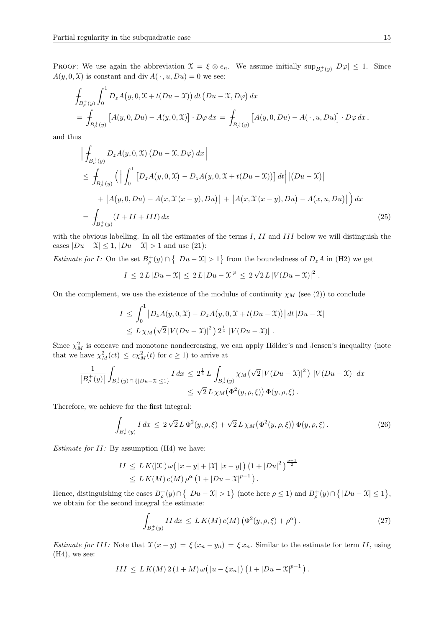**PROOF:** We use again the abbreviation  $\mathcal{X} = \xi \otimes e_n$ . We assume initially  $\sup_{B^+_p(y)} |D\varphi| \leq 1$ . Since  $A(y, 0, \mathcal{X})$  is constant and div  $A(\cdot, u, Du) = 0$  we see:

$$
\int_{B_{\rho}^{+}(y)} \int_{0}^{1} D_{z}A(y, 0, \mathcal{X} + t(Du - \mathcal{X})) dt (Du - \mathcal{X}, D\varphi) dx
$$
\n
$$
= \int_{B_{\rho}^{+}(y)} [A(y, 0, Du) - A(y, 0, \mathcal{X})] \cdot D\varphi dx = \int_{B_{\rho}^{+}(y)} [A(y, 0, Du) - A(\cdot, u, Du)] \cdot D\varphi dx,
$$

and thus

$$
\left| \int_{B_{\rho}^{+}(y)} D_{z} A(y, 0, \mathcal{X}) (Du - \mathcal{X}, D\varphi) dx \right|
$$
\n
$$
\leq \int_{B_{\rho}^{+}(y)} \left( \left| \int_{0}^{1} \left[ D_{z} A(y, 0, \mathcal{X}) - D_{z} A(y, 0, \mathcal{X} + t(Du - \mathcal{X})) \right] dt \right| |(Du - \mathcal{X})|
$$
\n
$$
+ |A(y, 0, Du) - A(x, \mathcal{X}(x - y), Du)| + |A(x, \mathcal{X}(x - y), Du) - A(x, u, Du)|) dx
$$
\n
$$
= \int_{B_{\rho}^{+}(y)} (I + II + III) dx \tag{25}
$$

with the obvious labelling. In all the estimates of the terms  $I, II$  and  $III$  below we will distinguish the cases  $|Du-\mathfrak{X}|\leq 1$ ,  $|Du-\mathfrak{X}|>1$  and use (21):

*Estimate for I:* On the set  $B_{\rho}^+(y) \cap \{|Du - \mathcal{X}| > 1\}$  from the boundedness of  $D_z A$  in (H2) we get

$$
I \le 2 L |Du - \mathfrak{X}| \le 2 L |Du - \mathfrak{X}|^p \le 2 \sqrt{2} L |V(Du - \mathfrak{X})|^2.
$$

On the complement, we use the existence of the modulus of continuity  $\chi_M$  (see (2)) to conclude

$$
I \leq \int_0^1 |D_z A(y, 0, \mathfrak{X}) - D_z A(y, 0, \mathfrak{X} + t(Du - \mathfrak{X}))| dt |Du - \mathfrak{X}|
$$
  
 
$$
\leq L \chi_M \left(\sqrt{2} |V(Du - \mathfrak{X})|^2\right) 2^{\frac{1}{4}} |V(Du - \mathfrak{X})|.
$$

Since  $\chi^2_M$  is concave and monotone nondecreasing, we can apply Hölder's and Jensen's inequality (note that we have  $\chi^2_M(ct) \leq c \chi^2_M(t)$  for  $c \geq 1$ ) to arrive at

$$
\frac{1}{|B_{\rho}^+(y)|} \int_{B_{\rho}^+(y) \cap \{|Du - \mathcal{X}| \le 1\}} I \, dx \le 2^{\frac{1}{4}} L \int_{B_{\rho}^+(y)} \chi_M(\sqrt{2}|V(Du - \mathcal{X})|^2) |V(Du - \mathcal{X})| \, dx
$$
  

$$
\le \sqrt{2} L \chi_M(\Phi^2(y, \rho, \xi)) \Phi(y, \rho, \xi).
$$

Therefore, we achieve for the first integral:

$$
\int_{B_{\rho}^{+}(y)} I \, dx \le 2\sqrt{2} L \, \Phi^{2}(y,\rho,\xi) + \sqrt{2} L \, \chi_{M} \big( \Phi^{2}(y,\rho,\xi) \big) \, \Phi(y,\rho,\xi) \,. \tag{26}
$$

*Estimate for*  $II$ *:* By assumption  $(H4)$  we have:

$$
II \leq L K(|\mathfrak{X}|) \,\omega\big(|x - y| + |\mathfrak{X}| |x - y|\big) \left(1 + |Du|^2\right)^{\frac{p-1}{2}} \leq L K(M) c(M) \,\rho^{\alpha} \left(1 + |Du - \mathfrak{X}|^{p-1}\right).
$$

Hence, distinguishing the cases  $B^+_{\rho}(y) \cap \{|Du - \mathcal{X}| > 1\}$  (note here  $\rho \leq 1$ ) and  $B^+_{\rho}(y) \cap \{|Du - \mathcal{X}| \leq 1\}$ , we obtain for the second integral the estimate:

$$
\int_{B_{\rho}^+(y)} II \, dx \le L K(M) c(M) \left( \Phi^2(y, \rho, \xi) + \rho^{\alpha} \right). \tag{27}
$$

Estimate for III: Note that  $\mathfrak{X}(x - y) = \xi (x_n - y_n) = \xi x_n$ . Similar to the estimate for term II, using  $(H4)$ , we see:

$$
III \leq L K(M) 2 (1 + M) \omega ( |u - \xi x_n|) (1 + |Du - \mathfrak{X}|^{p-1}).
$$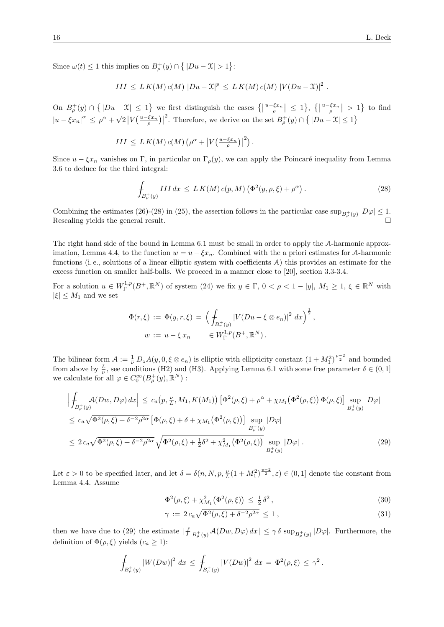Since  $\omega(t) \leq 1$  this implies on  $B^+_{\rho}(y) \cap \{|Du - \mathcal{X}| > 1\}$ :

$$
III \leq L K(M) c(M) |Du - \mathfrak{X}|^p \leq L K(M) c(M) |V(Du - \mathfrak{X})|^2.
$$

On  $B_{\rho}^+(y) \cap \{|Du-\mathfrak{X}| \leq 1\}$  we first distinguish the cases  $\{|{\frac{u-\xi x_n}{\rho}}| \leq 1\}$ ,  $\{|{\frac{u-\xi x_n}{\rho}}| > 1\}$  to find  $|u - \xi x_n|^{\alpha} \leq \rho^{\alpha} + \sqrt{\rho^{\alpha} + \rho^{\beta} + \rho^{\beta} + \rho^{\beta} + \rho^{\beta} + \rho^{\beta}}$  $\sqrt{2}\left|V\left(\frac{u-\xi x_n}{\rho}\right)\right|$ <sup>2</sup>. Therefore, we derive on the set  $B_{\rho}^+(y) \cap \{ |Du - \mathfrak{X}| \leq 1 \}$ 

$$
III \leq L K(M) c(M) \left( \rho^{\alpha} + \left| V\left(\frac{u-\xi x_n}{\rho}\right) \right|^2 \right).
$$

Since  $u - \xi x_n$  vanishes on Γ, in particular on  $\Gamma_\rho(y)$ , we can apply the Poincaré inequality from Lemma 3.6 to deduce for the third integral:

$$
\int_{B_{\rho}^+(y)} III \, dx \le L K(M) c(p, M) \left( \Phi^2(y, \rho, \xi) + \rho^{\alpha} \right). \tag{28}
$$

Combining the estimates (26)-(28) in (25), the assertion follows in the particular case  $\sup_{B_{\rho}^+(y)}|D\varphi|\leq 1$ . Rescaling yields the general result.

The right hand side of the bound in Lemma 6.1 must be small in order to apply the A-harmonic approximation, Lemma 4.4, to the function  $w = u - \xi x_n$ . Combined with the a priori estimates for A-harmonic functions (i. e., solutions of a linear elliptic system with coefficients A) this provides an estimate for the excess function on smaller half-balls. We proceed in a manner close to [20], section 3.3-3.4.

For a solution  $u \in W^{1,p}_\Gamma(B^+, \mathbb{R}^N)$  of system (24) we fix  $y \in \Gamma$ ,  $0 < \rho < 1 - |y|$ ,  $M_1 \geq 1$ ,  $\xi \in \mathbb{R}^N$  with  $|\xi| \leq M_1$  and we set

$$
\Phi(r,\xi) := \Phi(y,r,\xi) = \left(\int_{B_r^+(y)} |V(Du - \xi \otimes e_n)|^2 dx\right)^{\frac{1}{2}},
$$
  

$$
w := u - \xi x_n \in W_{\Gamma}^{1,p}(B^+, \mathbb{R}^N).
$$

The bilinear form  $A := \frac{1}{\nu} D_z A(y, 0, \xi \otimes e_n)$  is elliptic with ellipticity constant  $(1 + M_1^2)^{\frac{p-2}{2}}$  and bounded from above by  $\frac{L}{\nu}$ , see conditions (H2) and (H3). Applying Lemma 6.1 with some free parameter  $\delta \in (0,1]$ we calculate for all  $\varphi \in C_0^{\infty}(B_{\rho}^+(y), \mathbb{R}^N)$ :

$$
\left| \oint_{B_{\rho}^{+}(y)} \mathcal{A}(Dw, D\varphi) dx \right| \le c_a(p, \frac{\nu}{L}, M_1, K(M_1)) \left[ \Phi^2(\rho, \xi) + \rho^{\alpha} + \chi_{M_1}(\Phi^2(\rho, \xi)) \Phi(\rho, \xi) \right] \sup_{B_{\rho}^{+}(y)} |D\varphi|
$$
  
\n
$$
\le c_a \sqrt{\Phi^2(\rho, \xi) + \delta^{-2} \rho^{2\alpha}} \left[ \Phi(\rho, \xi) + \delta + \chi_{M_1}(\Phi^2(\rho, \xi)) \right] \sup_{B_{\rho}^{+}(y)} |D\varphi|
$$
  
\n
$$
\le 2 c_a \sqrt{\Phi^2(\rho, \xi) + \delta^{-2} \rho^{2\alpha}} \sqrt{\Phi^2(\rho, \xi) + \frac{1}{2} \delta^2 + \chi_{M_1}^2(\Phi^2(\rho, \xi))} \sup_{B_{\rho}^{+}(y)} |D\varphi|.
$$
 (29)

Let  $\varepsilon > 0$  to be specified later, and let  $\delta = \delta(n, N, p, \frac{\nu}{L}(1 + M_1^2)^{\frac{p-2}{2}}, \varepsilon) \in (0, 1]$  denote the constant from Lemma 4.4. Assume

$$
\Phi^2(\rho, \xi) + \chi^2_{M_1} \big( \Phi^2(\rho, \xi) \big) \le \frac{1}{2} \delta^2 \,, \tag{30}
$$

$$
\gamma := 2 c_a \sqrt{\Phi^2(\rho, \xi) + \delta^{-2} \rho^{2\alpha}} \le 1, \tag{31}
$$

then we have due to (29) the estimate  $|\int_{B^+_{\rho}(y)} \mathcal{A}(Dw, D\varphi) dx| \leq \gamma \delta \sup_{B^+_{\rho}(y)} |D\varphi|$ . Furthermore, the definition of  $\Phi(\rho, \xi)$  yields  $(c_a \geq 1)$ :

$$
\int_{B_{\rho}^+(y)} |W(Dw)|^2 \ dx \leq \int_{B_{\rho}^+(y)} |V(Dw)|^2 \ dx = \Phi^2(\rho, \xi) \leq \gamma^2.
$$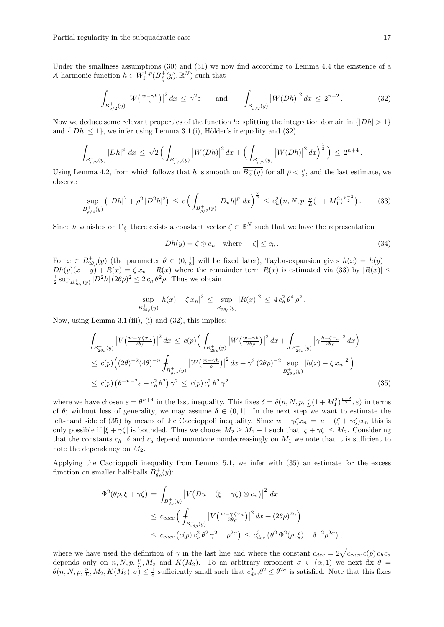Under the smallness assumptions (30) and (31) we now find according to Lemma 4.4 the existence of a A-harmonic function  $h \in W^{1,p}_{\Gamma}(B^+_{\frac{\rho}{2}}(y), \mathbb{R}^N)$  such that

$$
\int_{B_{\rho/2}^+(y)} |W(\frac{w-\gamma h}{\rho})|^2 dx \le \gamma^2 \varepsilon \quad \text{and} \quad \int_{B_{\rho/2}^+(y)} |W(Dh)|^2 dx \le 2^{n+2}.
$$
 (32)

Now we deduce some relevant properties of the function h: splitting the integration domain in  $\{|Dh| > 1\}$ and  $\{|Dh| \leq 1\}$ , we infer using Lemma 3.1 (i), Hölder's inequality and (32)

$$
\int_{B_{\rho/2}^+(y)} |Dh|^p \ dx \leq \sqrt{2} \left( \int_{B_{\rho/2}^+(y)} \left| W(Dh) \right|^2 dx + \left( \int_{B_{\rho/2}^+(y)} \left| W(Dh) \right|^2 dx \right)^{\frac{1}{2}} \right) \leq 2^{n+4} \, .
$$

Using Lemma 4.2, from which follows that h is smooth on  $\overline{B^+_{\bar{\rho}}(y)}$  for all  $\bar{\rho} < \frac{\rho}{2}$ , and the last estimate, we observe

$$
\sup_{B_{\rho/4}^+(y)} \left( |Dh|^2 + \rho^2 |D^2h|^2 \right) \le c \left( \int_{B_{\rho/2}^+(y)} |D_n h|^p \, dx \right)^{\frac{2}{p}} \le c_h^2 \left( n, N, p, \frac{\nu}{L} (1 + M_1^2)^{\frac{p-2}{2}} \right). \tag{33}
$$

Since h vanishes on  $\Gamma_{\frac{\rho}{2}}$  there exists a constant vector  $\zeta \in \mathbb{R}^N$  such that we have the representation

$$
Dh(y) = \zeta \otimes e_n \quad \text{where} \quad |\zeta| \le c_h. \tag{34}
$$

For  $x \in B^+_{2\theta\rho}(y)$  (the parameter  $\theta \in (0, \frac{1}{8}]$  will be fixed later), Taylor-expansion gives  $h(x) = h(y) +$  $Dh(y)(x - y) + R(x) = \zeta x_n + R(x)$  where the remainder term  $R(x)$  is estimated via (33) by  $|R(x)| \le$  $\frac{1}{2} \sup_{B_{2\theta\rho}(y)} |D^2 h| (2\theta\rho)^2 \leq 2 c_h \theta^2 \rho$ . Thus we obtain

$$
\sup_{B_{2\theta\rho}^+(y)} |h(x) - \zeta x_n|^2 \leq \sup_{B_{2\theta\rho}^+(y)} |R(x)|^2 \leq 4 c_h^2 \theta^4 \rho^2.
$$

Now, using Lemma  $3.1 \text{ (iii)}$ , (i) and  $(32)$ , this implies:

$$
\int_{B_{2\theta\rho}^{+}(y)} \left| V\left(\frac{w-\gamma \zeta x_{n}}{2\theta \rho}\right) \right|^{2} dx \leq c(p) \Big( \int_{B_{2\theta\rho}^{+}(y)} \left| W\left(\frac{w-\gamma h}{2\theta \rho}\right) \right|^{2} dx + \int_{B_{2\theta\rho}^{+}(y)} \left| \gamma \frac{h-\zeta x_{n}}{2\theta \rho} \right|^{2} dx \Big)
$$
\n
$$
\leq c(p) \Big( (2\theta)^{-2} (4\theta)^{-n} \int_{B_{\rho/2}^{+}(y)} \left| W\left(\frac{w-\gamma h}{\rho}\right) \right|^{2} dx + \gamma^{2} (2\theta \rho)^{-2} \sup_{B_{2\theta\rho}^{+}(y)} \left| h(x) - \zeta x_{n} \right|^{2} \Big)
$$
\n
$$
\leq c(p) \left( \theta^{-n-2} \varepsilon + c_{h}^{2} \theta^{2} \right) \gamma^{2} \leq c(p) c_{h}^{2} \theta^{2} \gamma^{2}, \tag{35}
$$

where we have chosen  $\varepsilon = \theta^{n+4}$  in the last inequality. This fixes  $\delta = \delta(n, N, p, \frac{\nu}{L}(1 + M_1^2)^{\frac{p-2}{2}}, \varepsilon)$  in terms of  $\theta$ ; without loss of generality, we may assume  $\delta \in (0,1]$ . In the next step we want to estimate the left-hand side of (35) by means of the Caccioppoli inequality. Since  $w - \gamma \zeta x_n = u - (\xi + \gamma \zeta) x_n$  this is only possible if  $|\xi + \gamma \zeta|$  is bounded. Thus we choose  $M_2 \geq M_1 + 1$  such that  $|\xi + \gamma \zeta| \leq M_2$ . Considering that the constants  $c_h$ ,  $\delta$  and  $c_a$  depend monotone nondecreasingly on  $M_1$  we note that it is sufficient to note the dependency on  $M_2$ .

Applying the Caccioppoli inequality from Lemma 5.1, we infer with (35) an estimate for the excess function on smaller half-balls  $B_{\theta \rho}^{+}(y)$ :

$$
\Phi^{2}(\theta\rho,\xi+\gamma\zeta) = \int_{B_{\theta\rho}^{+}(y)} \left|V\left(Du-(\xi+\gamma\zeta)\otimes e_{n}\right)\right|^{2} dx
$$
  
\n
$$
\leq c_{cacc}\left(\int_{B_{2\theta\rho}^{+}(y)} \left|V\left(\frac{w-\gamma\zeta x_{n}}{2\theta\rho}\right)\right|^{2} dx + (2\theta\rho)^{2\alpha}\right)
$$
  
\n
$$
\leq c_{cacc}\left(c(p)\,c_{h}^{2}\,\theta^{2}\,\gamma^{2}+\rho^{2\alpha}\right) \leq c_{dec}^{2}\left(\theta^{2}\,\Phi^{2}(\rho,\xi)+\delta^{-2}\rho^{2\alpha}\right),
$$

where we have used the definition of  $\gamma$  in the last line and where the constant  $c_{dec} = 2\sqrt{c_{cacc} c(p)} c_h c_a$ depends only on  $n, N, p, \frac{\nu}{L}, M_2$  and  $K(M_2)$ . To an arbitrary exponent  $\sigma \in (\alpha, 1)$  we next fix  $\theta =$  $\theta(n, N, p, \frac{\nu}{L}, M_2, K(M_2), \sigma) \leq \frac{1}{8}$  sufficiently small such that  $c_{dec}^2 \theta^2 \leq \theta^{2\sigma}$  is satisfied. Note that this fixes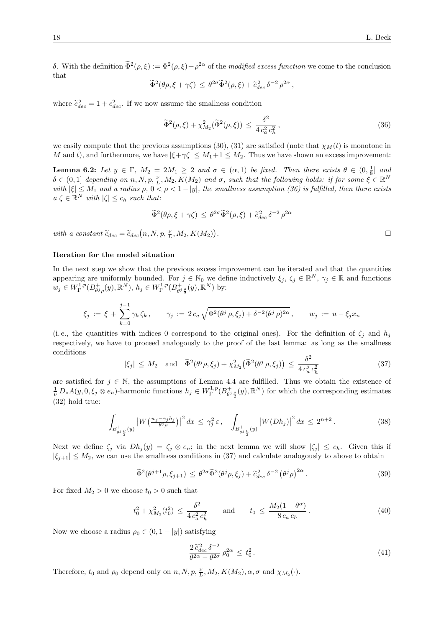δ. With the definition  $\tilde{\Phi}^2(\rho,\xi) := \Phi^2(\rho,\xi) + \rho^{2\alpha}$  of the *modified excess function* we come to the conclusion that

$$
\widetilde{\Phi}^2(\theta \rho, \xi + \gamma \zeta) \leq \theta^{2\sigma} \widetilde{\Phi}^2(\rho, \xi) + \widetilde{c}_{dec}^2 \delta^{-2} \rho^{2\alpha},
$$

where  $\tilde{c}_{dec}^2 = 1 + c_{dec}^2$ . If we now assume the smallness condition

$$
\widetilde{\Phi}^2(\rho,\xi) + \chi^2_{M_2}(\widetilde{\Phi}^2(\rho,\xi)) \le \frac{\delta^2}{4 c_a^2 c_h^2},\tag{36}
$$

we easily compute that the previous assumptions (30), (31) are satisfied (note that  $\chi_M(t)$  is monotone in M and t), and furthermore, we have  $|\xi + \gamma \zeta| \leq M_1 + 1 \leq M_2$ . Thus we have shown an excess improvement:

**Lemma 6.2:** Let  $y \in \Gamma$ ,  $M_2 = 2M_1 \geq 2$  and  $\sigma \in (\alpha, 1)$  be fixed. Then there exists  $\theta \in (0, \frac{1}{8}]$  and  $\delta \in (0,1]$  depending on  $n, N, p, \frac{\nu}{L}, M_2, K(M_2)$  and  $\sigma$ , such that the following holds: if for some  $\zeta \in \mathbb{R}^N$ with  $|\xi| \leq M_1$  and a radius  $\rho, 0 < \rho < 1 - |y|$ , the smallness assumption (36) is fulfilled, then there exists  $a \zeta \in \mathbb{R}^N$  with  $|\zeta| \leq c_h$  such that:

$$
\widetilde{\Phi}^2(\theta \rho, \xi + \gamma \zeta) \le \theta^{2\sigma} \widetilde{\Phi}^2(\rho, \xi) + \widetilde{c}_{dec}^2 \delta^{-2} \rho^{2\alpha}
$$

with a constant  $\tilde{c}_{dec} = \tilde{c}_{dec}(n, N, p, \frac{\nu}{L}, M_2, K(M_2))$ 

#### Iteration for the model situation

In the next step we show that the previous excess improvement can be iterated and that the quantities appearing are uniformly bounded. For  $j \in \mathbb{N}_0$  we define inductively  $\xi_j$ ,  $\zeta_j \in \mathbb{R}^N$ ,  $\gamma_j \in \mathbb{R}$  and functions  $w_j \in W^{1,p}_{\Gamma}(B^+_{\theta^j\rho}(y),\mathbb{R}^N), h_j \in W^{1,p}_{\Gamma}(B^+_{\theta^j\frac{\rho}{2}}(y),\mathbb{R}^N)$  by:

$$
\xi_j := \xi + \sum_{k=0}^{j-1} \gamma_k \zeta_k, \qquad \gamma_j := 2 c_a \sqrt{\Phi^2(\theta^j \rho, \xi_j) + \delta^{-2}(\theta^j \rho)^{2\alpha}}, \qquad w_j := u - \xi_j x_n
$$

(i.e., the quantities with indices 0 correspond to the original ones). For the definition of  $\zeta_j$  and  $h_j$ respectively, we have to proceed analogously to the proof of the last lemma: as long as the smallness conditions

$$
|\xi_j| \le M_2
$$
 and  $\tilde{\Phi}^2(\theta^j \rho, \xi_j) + \chi^2_{M_2}(\tilde{\Phi}^2(\theta^j \rho, \xi_j)) \le \frac{\delta^2}{4 c_a^2 c_h^2}$  (37)

are satisfied for  $j \in \mathbb{N}$ , the assumptions of Lemma 4.4 are fulfilled. Thus we obtain the existence of  $\frac{1}{\nu} D_z A(y, 0, \xi_j \otimes e_n)$ -harmonic functions  $h_j \in W^{1,p}_\Gamma(B^+_{\theta^j \frac{\rho}{2}}(y), \mathbb{R}^N)$  for which the corresponding estimates (32) hold true:

$$
\int_{B_{\theta j}^+} |W\left(\frac{w_j - \gamma_j h_j}{\theta^j \rho}\right)|^2 dx \leq \gamma_j^2 \varepsilon, \quad \int_{B_{\theta j}^+} |W(Dh_j)|^2 dx \leq 2^{n+2}.
$$
\n(38)

Next we define  $\zeta_i$  via  $Dh_i(y) = \zeta_i \otimes e_n$ ; in the next lemma we will show  $|\zeta_i| \leq c_h$ . Given this if  $|\xi_{i+1}| \leq M_2$ , we can use the smallness conditions in (37) and calculate analogously to above to obtain

$$
\widetilde{\Phi}^2(\theta^{j+1}\rho, \xi_{j+1}) \le \theta^{2\sigma} \widetilde{\Phi}^2(\theta^j \rho, \xi_j) + \widetilde{c}_{dec}^2 \delta^{-2} (\theta^j \rho)^{2\alpha}.
$$
\n(39)

For fixed  $M_2 > 0$  we choose  $t_0 > 0$  such that

$$
t_0^2 + \chi_{M_2}^2(t_0^2) \le \frac{\delta^2}{4 c_a^2 c_h^2} \quad \text{and} \quad t_0 \le \frac{M_2(1 - \theta^{\alpha})}{8 c_a c_h}.
$$
 (40)

Now we choose a radius  $\rho_0 \in (0, 1 - |y|)$  satisfying

$$
\frac{2\tilde{c}_{dec}^2 \delta^{-2}}{\theta^{2\alpha} - \theta^{2\sigma}} \rho_0^{2\alpha} \le t_0^2.
$$
\n(41)

Therefore,  $t_0$  and  $\rho_0$  depend only on  $n, N, p, \frac{\nu}{L}, M_2, K(M_2), \alpha, \sigma$  and  $\chi_{M_2}(\cdot)$ .

.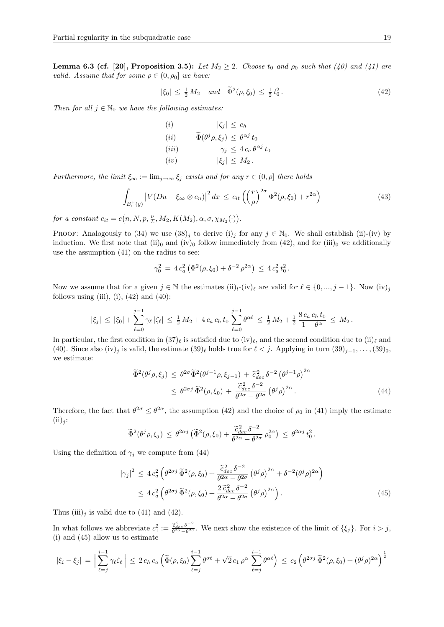**Lemma 6.3 (cf. [20], Proposition 3.5):** Let  $M_2 \geq 2$ . Choose  $t_0$  and  $\rho_0$  such that (40) and (41) are valid. Assume that for some  $\rho \in (0, \rho_0]$  we have:

$$
|\xi_0| \le \frac{1}{2} M_2 \quad and \quad \tilde{\Phi}^2(\rho, \xi_0) \le \frac{1}{2} t_0^2. \tag{42}
$$

Then for all  $j \in \mathbb{N}_0$  we have the following estimates:

$$
(i) \qquad |\zeta_j| \leq c_h
$$
  
\n
$$
(ii) \qquad \tilde{\Phi}(\theta^j \rho, \xi_j) \leq \theta^{\alpha j} t_0
$$
  
\n
$$
(iii) \qquad \gamma_j \leq 4 c_a \theta^{\alpha j} t_0
$$
  
\n
$$
(iv) \qquad |\xi_j| \leq M_2.
$$

Furthermore, the limit  $\xi_{\infty} := \lim_{j \to \infty} \xi_j$  exists and for any  $r \in (0, \rho]$  there holds

$$
\int_{B_r^+(y)} \left| V(Du - \xi_\infty \otimes e_n) \right|^2 dx \le c_{it} \left( \left( \frac{r}{\rho} \right)^{2\sigma} \Phi^2(\rho, \xi_0) + r^{2\alpha} \right)
$$
\n(43)

for a constant  $c_{it} = c(n, N, p, \frac{\nu}{L}, M_2, K(M_2), \alpha, \sigma, \chi_{M_2}(\cdot)).$ 

PROOF: Analogously to (34) we use  $(38)_j$  to derive  $(i)_j$  for any  $j \in \mathbb{N}_0$ . We shall establish (ii)-(iv) by induction. We first note that  $(ii)$ <sub>0</sub> and  $(iv)$ <sub>0</sub> follow immediately from  $(42)$ , and for  $(iii)$ <sub>0</sub> we additionally use the assumption (41) on the radius to see:

$$
\gamma_0^2 = 4 c_a^2 \left( \Phi^2(\rho, \xi_0) + \delta^{-2} \rho^{2\alpha} \right) \leq 4 c_a^2 t_0^2.
$$

Now we assume that for a given  $j \in \mathbb{N}$  the estimates  $(ii)_l$ - $(iv)_\ell$  are valid for  $\ell \in \{0, ..., j - 1\}$ . Now  $(iv)_j$ follows using (iii), (i),  $(42)$  and  $(40)$ :

$$
|\xi_j| \leq |\xi_0| + \sum_{\ell=0}^{j-1} \gamma_\ell |\zeta_\ell| \leq \frac{1}{2} M_2 + 4 c_a c_h t_0 \sum_{\ell=0}^{j-1} \theta^{\alpha \ell} \leq \frac{1}{2} M_2 + \frac{1}{2} \frac{8 c_a c_h t_0}{1 - \theta^{\alpha}} \leq M_2.
$$

In particular, the first condition in  $(37)_\ell$  is satisfied due to  $(iv)_\ell$ , and the second condition due to  $(ii)_\ell$  and (40). Since also (iv)<sub>j</sub> is valid, the estimate  $(39)_\ell$  holds true for  $\ell < j$ . Applying in turn  $(39)_{j-1}, \ldots, (39)_0$ , we estimate:

$$
\widetilde{\Phi}^{2}(\theta^{j}\rho,\xi_{j}) \leq \theta^{2\sigma} \widetilde{\Phi}^{2}(\theta^{j-1}\rho,\xi_{j-1}) + \widetilde{c}_{dec}^{2} \delta^{-2} (\theta^{j-1}\rho)^{2\alpha} \leq \theta^{2\sigma j} \widetilde{\Phi}^{2}(\rho,\xi_{0}) + \frac{\widetilde{c}_{dec}^{2} \delta^{-2}}{\theta^{2\alpha} - \theta^{2\sigma}} (\theta^{j}\rho)^{2\alpha}.
$$
\n(44)

Therefore, the fact that  $\theta^{2\sigma} \leq \theta^{2\alpha}$ , the assumption (42) and the choice of  $\rho_0$  in (41) imply the estimate  $(ii)_i$ :

$$
\widetilde{\Phi}^2(\theta^j \rho, \xi_j) \leq \theta^{2\alpha j} \left( \widetilde{\Phi}^2(\rho, \xi_0) + \frac{\widetilde{c}_{dec}^2 \delta^{-2}}{\theta^{2\alpha} - \theta^{2\sigma}} \rho_0^{2\alpha} \right) \leq \theta^{2\alpha j} t_0^2.
$$

Using the definition of  $\gamma_i$  we compute from (44)

$$
|\gamma_j|^2 \le 4 c_a^2 \left(\theta^{2\sigma j} \,\widetilde{\Phi}^2(\rho, \xi_0) + \frac{\widetilde{c}_{dec}^2 \,\delta^{-2}}{\theta^{2\alpha} - \theta^{2\sigma}} \left(\theta^j \rho\right)^{2\alpha} + \delta^{-2} (\theta^j \rho)^{2\alpha}\right) \\
\le 4 c_a^2 \left(\theta^{2\sigma j} \,\widetilde{\Phi}^2(\rho, \xi_0) + \frac{2 \widetilde{c}_{dec}^2 \,\delta^{-2}}{\theta^{2\alpha} - \theta^{2\sigma}} \left(\theta^j \rho\right)^{2\alpha}\right).
$$
\n(45)

Thus  $(iii)_j$  is valid due to (41) and (42).

In what follows we abbreviate  $c_1^2 := \frac{\tilde{c}_{dec}^2 \delta^{-2}}{\theta^{2\alpha} - \theta^{2\sigma}}$  $\frac{c_{dec}\theta}{\theta^{2\alpha}-\theta^{2\sigma}}$ . We next show the existence of the limit of  $\{\xi_j\}$ . For  $i>j$ , (i) and (45) allow us to estimate

$$
|\xi_i - \xi_j| = \Big|\sum_{\ell=j}^{i-1} \gamma_\ell \zeta_\ell\Big| \leq 2 c_h c_a \left(\widetilde{\Phi}(\rho, \xi_0) \sum_{\ell=j}^{i-1} \theta^{\sigma \ell} + \sqrt{2} c_1 \rho^\alpha \sum_{\ell=j}^{i-1} \theta^{\alpha \ell}\right) \leq c_2 \left(\theta^{2\sigma j} \widetilde{\Phi}^2(\rho, \xi_0) + (\theta^j \rho)^{2\alpha}\right)^{\frac{1}{2}}
$$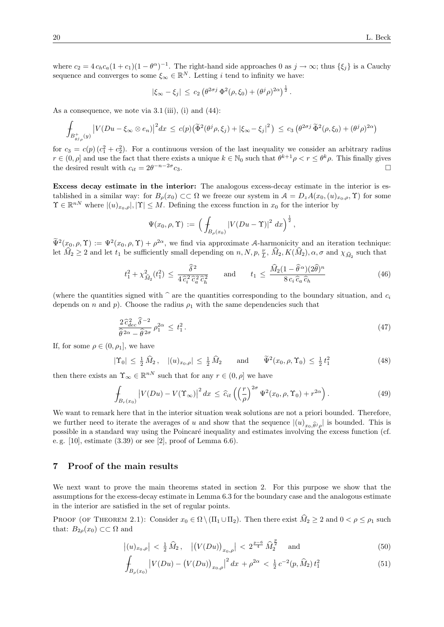where  $c_2 = 4 c_h c_a (1 + c_1)(1 - \theta^{\alpha})^{-1}$ . The right-hand side approaches 0 as  $j \to \infty$ ; thus  $\{\xi_j\}$  is a Cauchy sequence and converges to some  $\xi_{\infty} \in \mathbb{R}^{N}$ . Letting i tend to infinity we have:

$$
|\xi_{\infty} - \xi_j| \leq c_2 \left( \theta^{2\sigma j} \Phi^2(\rho, \xi_0) + (\theta^j \rho)^{2\alpha} \right)^{\frac{1}{2}}.
$$

As a consequence, we note via  $3.1 \text{ (iii)}$ , (i) and (44):

$$
\int_{B_{\theta j_\rho}^+(y)} \left| V(Du - \xi_\infty \otimes e_n) \right|^2 dx \leq c(p) \left( \widetilde{\Phi}^2(\theta^j \rho, \xi_j) + \left| \xi_\infty - \xi_j \right|^2 \right) \leq c_3 \left( \theta^{2\sigma j} \widetilde{\Phi}^2(\rho, \xi_0) + (\theta^j \rho)^{2\alpha} \right)
$$

for  $c_3 = c(p)(c_1^2 + c_2^2)$ . For a continuous version of the last inequality we consider an arbitrary radius  $r \in (0, \rho]$  and use the fact that there exists a unique  $k \in \mathbb{N}_0$  such that  $\theta^{k+1}\rho < r \leq \theta^k\rho$ . This finally gives the desired result with  $c_{it} = 2\theta^{-n-2\sigma}$  $c_3$ .

Excess decay estimate in the interior: The analogous excess-decay estimate in the interior is established in a similar way: for  $B_\rho(x_0) \subset\subset \Omega$  we freeze our system in  $\mathcal{A} = D_z A(x_0,(u)_{x_0,\rho},\Upsilon)$  for some  $\Upsilon \in \mathbb{R}^{nN}$  where  $|(u)_{x_0,\rho}|,|\Upsilon| \leq M$ . Defining the excess function in  $x_0$  for the interior by

$$
\Psi(x_0,\rho,\Upsilon) := \left(\int_{B_{\rho}(x_0)} |V(Du-\Upsilon)|^2 \ dx\right)^{\frac{1}{2}},
$$

 $\widetilde{\Psi}^2(x_0, \rho, \Upsilon) := \Psi^2(x_0, \rho, \Upsilon) + \rho^{2\alpha}$ , we find via approximate A-harmonicity and an iteration technique: let  $\hat{M}_2 \ge 2$  and let  $t_1$  be sufficiently small depending on  $n, N, p, \frac{\nu}{L}, \hat{M}_2, K(\hat{M}_2), \alpha, \sigma$  and  $\chi_{\hat{M}_2}$  such that

$$
t_1^2 + \chi_{\widehat{M}_2}^2(t_1^2) \le \frac{\widehat{\delta}^2}{4\,\widehat{c}_i^2\,\widehat{c}_a^2\,\widehat{c}_h^2} \qquad \text{and} \qquad t_1 \le \frac{\widehat{M}_2(1-\widehat{\theta}^{\,\alpha})(2\widehat{\theta})^n}{8\,c_i\,\widehat{c}_a\,\widehat{c}_h} \tag{46}
$$

(where the quantities signed with  $\hat{ }$  are the quantities corresponding to the boundary situation, and  $c_i$ depends on n and p). Choose the radius  $\rho_1$  with the same dependencies such that

$$
\frac{2\,\hat{c}_{dec}^2\,\hat{\delta}^{-2}}{\hat{\theta}^{2\alpha} - \hat{\theta}^{2\sigma}}\,\rho_1^{2\alpha} \le t_1^2\,. \tag{47}
$$

If, for some  $\rho \in (0, \rho_1]$ , we have

$$
|\Upsilon_0| \le \frac{1}{2} \hat{M}_2, \quad |(u)_{x_0, \rho}| \le \frac{1}{2} \hat{M}_2 \quad \text{and} \quad \widetilde{\Psi}^2(x_0, \rho, \Upsilon_0) \le \frac{1}{2} t_1^2 \tag{48}
$$

then there exists an  $\Upsilon_{\infty} \in \mathbb{R}^{nN}$  such that for any  $r \in (0, \rho]$  we have

$$
\int_{B_r(x_0)} \left| V(Du) - V(\Upsilon_{\infty}) \right|^2 dx \le \widehat{c}_{it} \left( \left( \frac{r}{\rho} \right)^{2\sigma} \Psi^2(x_0, \rho, \Upsilon_0) + r^{2\alpha} \right). \tag{49}
$$

We want to remark here that in the interior situation weak solutions are not a priori bounded. Therefore, we further need to iterate the averages of u and show that the sequence  $|(u)_{x_0,\widehat{\theta}^j\rho}|$  is bounded. This is possible in a standard way using the Poincar´e inequality and estimates involving the excess function (cf. e. g. [10], estimate (3.39) or see [2], proof of Lemma 6.6).

#### 7 Proof of the main results

We next want to prove the main theorems stated in section 2. For this purpose we show that the assumptions for the excess-decay estimate in Lemma 6.3 for the boundary case and the analogous estimate in the interior are satisfied in the set of regular points.

PROOF (OF THEOREM 2.1): Consider  $x_0 \in \Omega \setminus (\Pi_1 \cup \Pi_2)$ . Then there exist  $\widehat{M}_2 \geq 2$  and  $0 < \rho \leq \rho_1$  such that:  $B_{2\rho}(x_0) \subset \subset \Omega$  and

$$
\left| (u)_{x_0,\rho} \right| < \frac{1}{2} \,\hat{M}_2 \,, \quad \left| \left( V(Du) \right)_{x_0,\rho} \right| < 2^{\frac{p-6}{4}} \,\hat{M}_2^{\frac{p}{2}} \quad \text{and} \tag{50}
$$

$$
\int_{B_{\rho}(x_0)} \left| V(Du) - \left( V(Du) \right)_{x_0, \rho} \right|^2 dx + \rho^{2\alpha} < \frac{1}{2} c^{-2}(p, \widehat{M}_2) t_1^2 \tag{51}
$$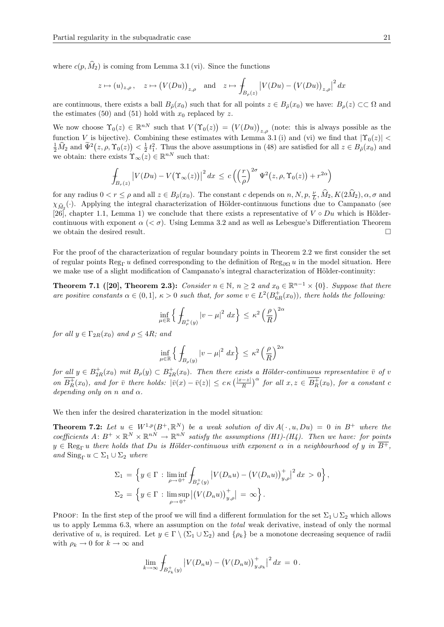where  $c(p, \hat{M}_2)$  is coming from Lemma 3.1 (vi). Since the functions

$$
z \mapsto (u)_{z,\rho}, \quad z \mapsto (V(Du))_{z,\rho} \quad \text{and} \quad z \mapsto \int_{B_{\rho}(z)} |V(Du) - (V(Du))_{z,\rho}|^2 dx
$$

are continuous, there exists a ball  $B_{\tilde{\rho}}(x_0)$  such that for all points  $z \in B_{\tilde{\rho}}(x_0)$  we have:  $B_{\rho}(z) \subset\subset \Omega$  and the estimates (50) and (51) hold with  $x_0$  replaced by z.

We now choose  $\Upsilon_0(z) \in \mathbb{R}^{nN}$  such that  $V(\Upsilon_0(z)) = (V(Du))_{z,\rho}$  (note: this is always possible as the function V is bijective). Combining these estimates with Lemma 3.1 (i) and (vi) we find that  $|\Upsilon_0(z)|$  <  $\frac{1}{2}\widehat{M}_2$  and  $\widetilde{\Psi}^2(z,\rho,\Upsilon_0(z)) < \frac{1}{2}t_1^2$ . Thus the above assumptions in (48) are satisfied for all  $z \in B_{\tilde{\rho}}(x_0)$  and we obtain: there exists  $\Upsilon_{\infty}(z) \in \mathbb{R}^{nN}$  such that:

$$
\int_{B_r(z)} \left| V(Du) - V(\Upsilon_\infty(z)) \right|^2 dx \le c \left( \left( \frac{r}{\rho} \right)^{2\sigma} \Psi^2(z, \rho, \Upsilon_0(z)) + r^{2\alpha} \right)
$$

for any radius  $0 < r \le \rho$  and all  $z \in B_{\tilde{\rho}}(x_0)$ . The constant c depends on  $n, N, p, \frac{\nu}{L}, \hat{M}_2, K(2\hat{M}_2), \alpha, \sigma$  and  $\chi_{\hat{M}_2}(\cdot)$ . Applying the integral characterization of Hölder-continuous functions due to Campanato (see [26], chapter 1.1, Lemma 1) we conclude that there exists a representative of  $V \circ Du$  which is Höldercontinuous with exponent  $\alpha$  ( $\langle \sigma \rangle$ ). Using Lemma 3.2 and as well as Lebesgue's Differentiation Theorem we obtain the desired result.  $\Box$ 

For the proof of the characterization of regular boundary points in Theorem 2.2 we first consider the set of regular points Reg<sub>Γ</sub> u defined corresponding to the definition of Reg<sub>∂Ω</sub> u in the model situation. Here we make use of a slight modification of Campanato's integral characterization of Hölder-continuity:

**Theorem 7.1** ([20], Theorem 2.3): Consider  $n \in \mathbb{N}$ ,  $n \ge 2$  and  $x_0 \in \mathbb{R}^{n-1} \times \{0\}$ . Suppose that there are positive constants  $\alpha \in (0,1]$ ,  $\kappa > 0$  such that, for some  $v \in L^2(B_{6R}^+(x_0))$ , there holds the following:

$$
\inf_{\mu \in \mathbb{R}} \left\{ \left. \int_{B_{\rho}^{+}(y)} |v - \mu|^{2} \right| dx \right\} \leq \kappa^{2} \left( \frac{\rho}{R} \right)^{2\alpha}
$$

for all  $y \in \Gamma_{2R}(x_0)$  and  $\rho \leq 4R$ ; and

$$
\inf_{\mu \in \mathbb{R}} \left\{ \left. \int_{B_{\rho}(y)} |v - \mu|^2 \right| dx \right\} \le \kappa^2 \left( \frac{\rho}{R} \right)^{2\alpha}
$$

for all  $y \in B_{2R}^+(x_0)$  mit  $B_{\rho}(y) \subset B_{2R}^+(x_0)$ . Then there exists a Hölder-continuous representative  $\bar{v}$  of v on  $\overline{B_R^+(x_0)}$ , and for  $\overline{v}$  there holds:  $|\overline{v}(x) - \overline{v}(z)| \leq c \kappa \left(\frac{|x-z|}{R}\right)^\alpha$  for all  $x, z \in \overline{B_R^+(x_0)}$ , for a constant c depending only on n and  $\alpha$ .

We then infer the desired charaterization in the model situation:

**Theorem 7.2:** Let  $u \in W^{1,p}(B^+, \mathbb{R}^N)$  be a weak solution of div  $A(\cdot, u, Du) = 0$  in  $B^+$  where the coefficients A:  $B^+ \times \mathbb{R}^N \times \mathbb{R}^{n} \to \mathbb{R}^{n}$  satisfy the assumptions (H1)-(H4). Then we have: for points  $y \in \text{Reg}_{\Gamma} u$  there holds that Du is Hölder-continuous with exponent  $\alpha$  in a neighbourhood of y in  $\overline{B^+}$ , and  $\text{Sing}_{\Gamma} u \subset \Sigma_1 \cup \Sigma_2$  where

$$
\Sigma_1 = \left\{ y \in \Gamma : \liminf_{\rho \to 0^+} \int_{B^+_{\rho}(y)} |V(D_n u) - (V(D_n u))_{y,\rho}^+|^2 dx > 0 \right\},\
$$
  

$$
\Sigma_2 = \left\{ y \in \Gamma : \limsup_{\rho \to 0^+} |(V(D_n u))_{y,\rho}^+| = \infty \right\}.
$$

PROOF: In the first step of the proof we will find a different formulation for the set  $\Sigma_1 \cup \Sigma_2$  which allows us to apply Lemma 6.3, where an assumption on the total weak derivative, instead of only the normal derivative of u, is required. Let  $y \in \Gamma \setminus (\Sigma_1 \cup \Sigma_2)$  and  $\{\rho_k\}$  be a monotone decreasing sequence of radii with  $\rho_k \to 0$  for  $k \to \infty$  and

$$
\lim_{k \to \infty} \int_{B_{\rho_k}^+(y)} |V(D_n u) - (V(D_n u))_{y,\rho_k}^+|^2 dx = 0.
$$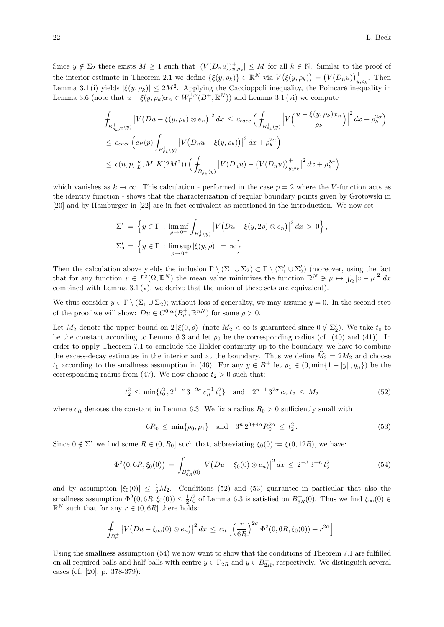Since  $y \notin \Sigma_2$  there exists  $M \geq 1$  such that  $|(V(D_n u))_{y,\rho_k}^+| \leq M$  for all  $k \in \mathbb{N}$ . Similar to the proof of the interior estimate in Theorem 2.1 we define  $\{\xi(y,\rho_k)\}\in\mathbb{R}^N$  via  $V(\xi(y,\rho_k)) = (V(D_n u))_{y,\rho_k}^+$ . Then Lemma 3.1 (i) yields  $|\xi(y, \rho_k)| \leq 2M^2$ . Applying the Caccioppoli inequality, the Poincaré inequality in Lemma 3.6 (note that  $u - \xi(y, \rho_k)x_n \in W^{1,p}_\Gamma(B^+, \mathbb{R}^N)$ ) and Lemma 3.1 (vi) we compute

$$
\int_{B_{\rho_{k}/2}^{+}(y)} \left| V(Du - \xi(y, \rho_{k}) \otimes e_{n}) \right|^{2} dx \leq c_{cacc} \left( \int_{B_{\rho_{k}}^{+}(y)} \left| V\left(\frac{u - \xi(y, \rho_{k})x_{n}}{\rho_{k}}\right) \right|^{2} dx + \rho_{k}^{2\alpha} \right)
$$
\n
$$
\leq c_{cacc} \left( c_{P}(p) \int_{B_{\rho_{k}}^{+}(y)} \left| V(D_{n}u - \xi(y, \rho_{k})) \right|^{2} dx + \rho_{k}^{2\alpha} \right)
$$
\n
$$
\leq c(n, p, \frac{\nu}{L}, M, K(2M^{2})) \left( \int_{B_{\rho_{k}}^{+}(y)} \left| V(D_{n}u) - \left( V(D_{n}u) \right) \right|_{y, \rho_{k}}^{+} \right|^{2} dx + \rho_{k}^{2\alpha} \right)
$$

which vanishes as  $k \to \infty$ . This calculation - performed in the case  $p = 2$  where the V-function acts as the identity function - shows that the characterization of regular boundary points given by Grotowski in [20] and by Hamburger in [22] are in fact equivalent as mentioned in the introduction. We now set

$$
\Sigma_1' = \left\{ y \in \Gamma : \liminf_{\rho \to 0^+} \int_{B^+_{\rho}(y)} \left| V(Du - \xi(y, 2\rho) \otimes e_n) \right|^2 dx > 0 \right\},
$$
  

$$
\Sigma_2' = \left\{ y \in \Gamma : \limsup_{\rho \to 0^+} |\xi(y, \rho)| = \infty \right\}.
$$

Then the calculation above yields the inclusion  $\Gamma \setminus (\Sigma_1 \cup \Sigma_2) \subset \Gamma \setminus (\Sigma_1' \cup \Sigma_2')$  (moreover, using the fact that for any function  $v \in L^2(\Omega, \mathbb{R}^N)$  the mean value minimizes the function  $\mathbb{R}^N \ni \mu \mapsto \int_{\Omega} |v - \mu|^2 dx$ combined with Lemma 3.1 (v), we derive that the union of these sets are equivalent).

We thus consider  $y \in \Gamma \setminus (\Sigma_1 \cup \Sigma_2)$ ; without loss of generality, we may assume  $y = 0$ . In the second step of the proof we will show:  $Du \in C^{0,\alpha}(\overline{B^+_{\rho}}, \mathbb{R}^{nN})$  for some  $\rho > 0$ .

Let  $M_2$  denote the upper bound on  $2 |\xi(0, \rho)|$  (note  $M_2 < \infty$  is guaranteed since  $0 \notin \Sigma'_2$ ). We take  $t_0$  to be the constant according to Lemma 6.3 and let  $\rho_0$  be the corresponding radius (cf. (40) and (41)). In order to apply Theorem 7.1 to conclude the Hölder-continuity up to the boundary, we have to combine the excess-decay estimates in the interior and at the boundary. Thus we define  $\hat{M}_2 = 2M_2$  and choose  $t_1$  according to the smallness assumption in (46). For any  $y \in B^+$  let  $\rho_1 \in (0, \min\{1 - |y|, y_n\})$  be the corresponding radius from (47). We now choose  $t_2 > 0$  such that:

$$
t_2^2 \le \min\{t_0^2, 2^{1-n}3^{-2\sigma}c_{it}^{-1}t_1^2\} \quad \text{and} \quad 2^{n+1}3^{2\sigma}c_{it}t_2 \le M_2 \tag{52}
$$

where  $c_{it}$  denotes the constant in Lemma 6.3. We fix a radius  $R_0 > 0$  sufficiently small with

$$
6R_0 \le \min\{\rho_0, \rho_1\} \quad \text{and} \quad 3^n 2^{3+4\alpha} R_0^{2\alpha} \le t_2^2. \tag{53}
$$

Since  $0 \notin \Sigma'_{1}$  we find some  $R \in (0, R_{0}]$  such that, abbreviating  $\xi_{0}(0) := \xi(0, 12R)$ , we have:

$$
\Phi^2(0,6R,\xi_0(0)) = \int_{B_{6R}^+(0)} \left| V(Du - \xi_0(0) \otimes e_n) \right|^2 dx \leq 2^{-3} 3^{-n} t_2^2 \tag{54}
$$

and by assumption  $|\xi_0(0)| \leq \frac{1}{2}M_2$ . Conditions (52) and (53) guarantee in particular that also the smallness assumption  $\tilde{\Phi}^2(0, 6R, \xi_0(0)) \leq \frac{1}{2}t_0^2$  of Lemma 6.3 is satisfied on  $B_{6R}^+(0)$ . Thus we find  $\xi_{\infty}(0) \in \mathbb{R}^N$  $\mathbb{R}^N$  such that for any  $r \in (0, 6R]$  there holds:

$$
\int_{B_r^+} \left| V\big(Du - \xi_\infty(0) \otimes e_n\big) \right|^2 dx \leq c_{it} \left[ \left(\frac{r}{6R}\right)^{2\sigma} \Phi^2(0, 6R, \xi_0(0)) + r^{2\alpha} \right].
$$

Using the smallness assumption (54) we now want to show that the conditions of Theorem 7.1 are fulfilled on all required balls and half-balls with centre  $y \in \Gamma_{2R}$  and  $y \in B_{2R}^+$ , respectively. We distinguish several cases (cf. [20], p. 378-379):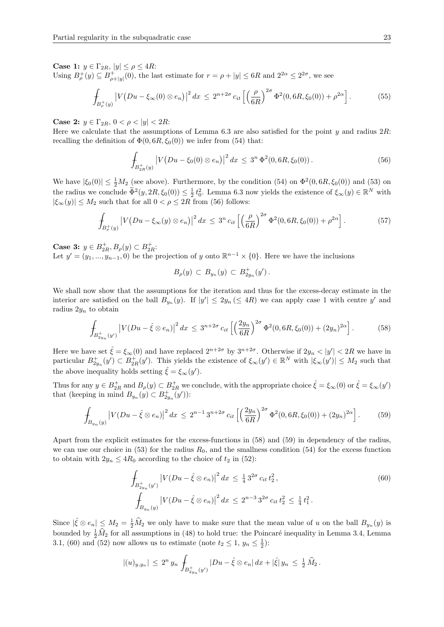Case 1:  $y \in \Gamma_{2R}$ ,  $|y| \le \rho \le 4R$ :

Using  $B_{\rho}^+(y) \subseteq B_{\rho+|y|}^+(0)$ , the last estimate for  $r = \rho + |y| \leq 6R$  and  $2^{2\alpha} \leq 2^{2\sigma}$ , we see

$$
\int_{B_{\rho}^+(y)} \left| V(Du - \xi_{\infty}(0) \otimes e_n) \right|^2 dx \le 2^{n+2\sigma} c_{it} \left[ \left( \frac{\rho}{6R} \right)^{2\sigma} \Phi^2(0, 6R, \xi_0(0)) + \rho^{2\alpha} \right]. \tag{55}
$$

Case 2:  $y \in \Gamma_{2R}$ ,  $0 < \rho < |y| < 2R$ :

Here we calculate that the assumptions of Lemma 6.3 are also satisfied for the point y and radius  $2R$ : recalling the definition of  $\Phi(0, 6R, \xi_0(0))$  we infer from (54) that:

$$
\int_{B_{2R}^+(y)} \left| V\big(Du - \xi_0(0) \otimes e_n\big) \right|^2 dx \leq 3^n \Phi^2(0, 6R, \xi_0(0)). \tag{56}
$$

We have  $|\xi_0(0)| \leq \frac{1}{2}M_2$  (see above). Furthermore, by the condition (54) on  $\Phi^2(0, 6R, \xi_0(0))$  and (53) on the radius we conclude  $\widetilde{\Phi}^2(y, 2R, \xi_0(0)) \leq \frac{1}{2} t_0^2$ . Lemma 6.3 now yields the existence of  $\xi_{\infty}(y) \in \mathbb{R}^N$  with  $|\xi_{\infty}(y)| \leq M_2$  such that for all  $0 < \rho \leq 2R$  from (56) follows:

$$
\int_{B_{\rho}^+(y)} \left| V(Du - \xi_{\infty}(y) \otimes e_n) \right|^2 dx \leq 3^n c_{it} \left[ \left( \frac{\rho}{6R} \right)^{2\sigma} \Phi^2(0, 6R, \xi_0(0)) + \rho^{2\alpha} \right]. \tag{57}
$$

Case 3:  $y \in B_{2R}^+, B_{\rho}(y) \subset B_{2R}^+$ :

Let  $y' = (y_1, ..., y_{n-1}, 0)$  be the projection of y onto  $\mathbb{R}^{n-1} \times \{0\}$ . Here we have the inclusions

$$
B_{\rho}(y) \subset B_{y_n}(y) \subset B_{2y_n}^+(y').
$$

We shall now show that the assumptions for the iteration and thus for the excess-decay estimate in the interior are satisfied on the ball  $B_{y_n}(y)$ . If  $|y'| \leq 2y_n \leq 4R$  we can apply case 1 with centre y' and radius  $2y_n$  to obtain

$$
\int_{B_{2yn}^+(y')} \left| V(Du - \hat{\xi} \otimes e_n) \right|^2 dx \le 3^{n+2\sigma} c_{it} \left[ \left( \frac{2y_n}{6R} \right)^{2\sigma} \Phi^2(0, 6R, \xi_0(0)) + (2y_n)^{2\alpha} \right]. \tag{58}
$$

Here we have set  $\hat{\xi} = \xi_{\infty}(0)$  and have replaced  $2^{n+2\sigma}$  by  $3^{n+2\sigma}$ . Otherwise if  $2y_n < |y'| < 2R$  we have in particular  $B_{2y_n}^+(y') \subset B_{2R}^+(y')$ . This yields the existence of  $\xi_\infty(y') \in \mathbb{R}^N$  with  $|\xi_\infty(y')| \leq M_2$  such that the above inequality holds setting  $\hat{\xi} = \xi_{\infty}(y')$ .

Thus for any  $y \in B_{2R}^+$  and  $B_{\rho}(y) \subset B_{2R}^+$  we conclude, with the appropriate choice  $\hat{\xi} = \xi_{\infty}(0)$  or  $\hat{\xi} = \xi_{\infty}(y')$ that (keeping in mind  $B_{y_n}(y) \subset B_{2y_n}^+(y')$ ):

$$
\int_{B_{y_n}(y)} \left| V(Du - \hat{\xi} \otimes e_n) \right|^2 dx \le 2^{n-1} 3^{n+2\sigma} c_{it} \left[ \left( \frac{2y_n}{6R} \right)^{2\sigma} \Phi^2(0, 6R, \xi_0(0)) + (2y_n)^{2\alpha} \right]. \tag{59}
$$

Apart from the explicit estimates for the excess-functions in (58) and (59) in dependency of the radius, we can use our choice in (53) for the radius  $R_0$ , and the smallness condition (54) for the excess function to obtain with  $2y_n \leq 4R_0$  according to the choice of  $t_2$  in (52):

$$
\int_{B_{2y_n}(y')} |V(Du - \hat{\xi} \otimes e_n)|^2 dx \le \frac{1}{4} 3^{2\sigma} c_{it} t_2^2,
$$
\n
$$
\int_{B_{y_n}(y)} |V(Du - \hat{\xi} \otimes e_n)|^2 dx \le 2^{n-3} 3^{2\sigma} c_{it} t_2^2 \le \frac{1}{4} t_1^2.
$$
\n(60)

Since  $|\hat{\xi} \otimes e_n| \leq M_2 = \frac{1}{2}\hat{M}_2$  we only have to make sure that the mean value of u on the ball  $B_{y_n}(y)$  is bounded by  $\frac{1}{2}\hat{M}_2$  for all assumptions in (48) to hold true: the Poincaré inequality in Lemma 3.4, Lemma 3.1, (60) and (52) now allows us to estimate (note  $t_2 \leq 1$ ,  $y_n \leq \frac{1}{2}$ ):

$$
|(u)_{y,y_n}| \leq 2^n y_n \int_{B_{2y_n}^+(y')} |Du - \hat{\xi} \otimes e_n| dx + |\hat{\xi}| y_n \leq \frac{1}{2} \widehat{M}_2.
$$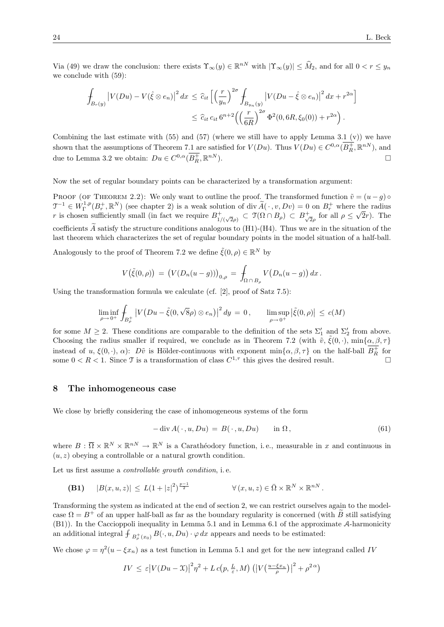Via (49) we draw the conclusion: there exists  $\Upsilon_{\infty}(y) \in \mathbb{R}^{nN}$  with  $|\Upsilon_{\infty}(y)| \leq \widehat{M}_2$ , and for all  $0 < r \leq y_n$ we conclude with (59):

$$
\int_{B_r(y)} \left| V(Du) - V(\hat{\xi} \otimes e_n) \right|^2 dx \leq \hat{c}_{it} \left[ \left( \frac{r}{y_n} \right)^{2\sigma} \int_{B_{y_n}(y)} \left| V(Du - \hat{\xi} \otimes e_n) \right|^2 dx + r^{2\alpha} \right]
$$
  

$$
\leq \hat{c}_{it} c_{it} 6^{n+2} \left( \left( \frac{r}{6R} \right)^{2\sigma} \Phi^2(0, 6R, \xi_0(0)) + r^{2\alpha} \right).
$$

Combining the last estimate with  $(55)$  and  $(57)$  (where we still have to apply Lemma 3.1 (v)) we have shown that the assumptions of Theorem 7.1 are satisfied for  $V(Du)$ . Thus  $V(Du) \in C^{0,\alpha}(\overline{B_R^+}, \mathbb{R}^{nN})$ , and due to Lemma 3.2 we obtain:  $Du \in C^{0,\alpha}(\overline{B_R^+}, \mathbb{R})$  $\binom{nN}{n}$ .

Now the set of regular boundary points can be characterized by a transformation argument:

PROOF (OF THEOREM 2.2): We only want to outline the proof. The transformed function  $\tilde{v} = (u - g) \circ$  $\mathcal{T}^{-1} \in W^{1,p}_\Gamma(B^+_r,\mathbb{R}^N)$  (see chapter 2) is a weak solution of div  $\widetilde{A}(\cdot, v, Dv) = 0$  on  $B^+_r$  where the radius r is chosen sufficiently small (in fact we require  $B_1^+$  $\mathcal{I}_{1/(\sqrt{2}\rho)}^+ \subset \mathfrak{I}(\Omega \cap B_\rho) \subset B_{\sqrt{2}}^+$  $\frac{1}{2\rho}$  for all  $\rho \leq \sqrt{2r}$ ). The coefficients  $\tilde{A}$  satisfy the structure conditions analogous to (H1)-(H4). Thus we are in the situation of the last theorem which characterizes the set of regular boundary points in the model situation of a half-ball.

Analogously to the proof of Theorem 7.2 we define  $\tilde{\xi}(0, \rho) \in \mathbb{R}^N$  by

$$
V(\tilde{\xi}(0,\rho)) = (V(D_n(u-g)))_{0,\rho} = \int_{\Omega \cap B_\rho} V(D_n(u-g)) dx.
$$

Using the transformation formula we calculate (cf. [2], proof of Satz 7.5):

$$
\liminf_{\rho \to 0^+} \int_{B_{\rho}^+} \left| V(Du - \tilde{\xi}(0, \sqrt{8}\rho) \otimes e_n) \right|^2 dy = 0, \qquad \limsup_{\rho \to 0^+} \left| \tilde{\xi}(0, \rho) \right| \le c(M)
$$

for some  $M \geq 2$ . These conditions are comparable to the definition of the sets  $\Sigma'_1$  and  $\Sigma'_2$  from above. Choosing the radius smaller if required, we conclude as in Theorem 7.2 (with  $\tilde{v}$ ,  $\xi(0, \cdot)$ , min $\{\alpha, \beta, \tau\}$ instead of u,  $\xi(0, \cdot)$ ,  $\alpha$ ): Dv $\tilde{v}$  is Hölder-continuous with exponent  $\min\{\alpha, \beta, \tau\}$  on the half-ball  $B_R^+$  for some  $0 < R < 1$ . Since T is a transformation of class  $C^{1,\tau}$  this gives the desired result.

#### 8 The inhomogeneous case

We close by briefly considering the case of inhomogeneous systems of the form

$$
-\operatorname{div} A(\cdot, u, Du) = B(\cdot, u, Du) \quad \text{in } \Omega,
$$
\n(61)

where  $B: \overline{\Omega} \times \mathbb{R}^N \times \mathbb{R}^{n} \to \mathbb{R}^N$  is a Carathéodory function, i.e., measurable in x and continuous in  $(u, z)$  obeying a controllable or a natural growth condition.

Let us first assume a controllable growth condition, i. e.

(B1)  $|B(x, u, z)| \leq L(1+|z|^2)^{\frac{p-1}{2}}$  $\overline{P}^{\frac{-1}{2}}$   $\forall (x, u, z) \in \overline{\Omega} \times \mathbb{R}^N \times \mathbb{R}^{nN}$ .

Transforming the system as indicated at the end of section 2, we can restrict ourselves again to the modelcase  $\Omega = B^+$  of an upper half-ball as far as the boundary regularity is concerned (with B still satisfying (B1)). In the Caccioppoli inequality in Lemma 5.1 and in Lemma 6.1 of the approximate A-harmonicity an additional integral  $\oint_{B^+_{\rho}(x_0)} B(\cdot, u, Du) \cdot \varphi dx$  appears and needs to be estimated:

We chose  $\varphi = \eta^2(u - \xi x_n)$  as a test function in Lemma 5.1 and get for the new integrand called IV

$$
IV \leq \varepsilon \left| V(Du - \mathcal{X}) \right|^2 \eta^2 + L c\left(p, \frac{L}{\varepsilon}, M\right) \left( \left| V\left(\frac{u - \xi x_n}{\rho}\right) \right|^2 + \rho^{2\alpha} \right)
$$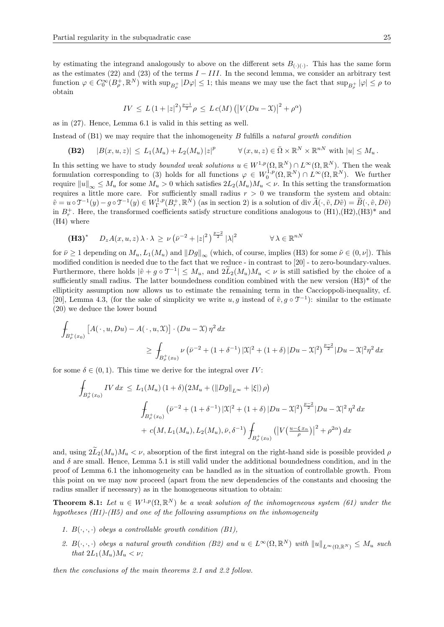by estimating the integrand analogously to above on the different sets  $B_{(.)(.)}$ . This has the same form as the estimates (22) and (23) of the terms  $I - III$ . In the second lemma, we consider an arbitrary test function  $\varphi \in C_0^{\infty}(B_{\rho}^+, \mathbb{R}^N)$  with  $\sup_{B_{\rho}^+} |D\varphi| \leq 1$ ; this means we may use the fact that  $\sup_{B_{\rho}^+} |\varphi| \leq \rho$  to obtain

$$
IV \le L \left(1 + |z|^2\right)^{\frac{p-1}{2}} \rho \le L \, c(M) \left(\left|V(Du - \mathfrak{X})\right|^2 + \rho^{\alpha}\right)
$$

as in (27). Hence, Lemma 6.1 is valid in this setting as well.

Instead of  $(B1)$  we may require that the inhomogeneity B fulfills a natural growth condition

(**B2**)  $|B(x, u, z)| \leq L_1(M_u) + L_2(M_u) |z|^p$  $\forall (x, u, z) \in \overline{\Omega} \times \mathbb{R}^N \times \mathbb{R}^{nN}$  with  $|u| \leq M_u$ .

In this setting we have to study *bounded weak solutions*  $u \in W^{1,p}(\Omega,\mathbb{R}^N) \cap L^{\infty}(\Omega,\mathbb{R}^N)$ . Then the weak formulation corresponding to (3) holds for all functions  $\varphi \in W_0^{1,p}(\Omega,\mathbb{R}^N) \cap L^{\infty}(\Omega,\mathbb{R}^N)$ . We further require  $||u||_{\infty} \leq M_u$  for some  $M_u > 0$  which satisfies  $2L_2(M_u)M_u < \nu$ . In this setting the transformation requires a little more care. For sufficiently small radius  $r > 0$  we transform the system and obtain:  $\tilde{v} = u \circ \mathcal{T}^{-1}(y) - g \circ \mathcal{T}^{-1}(y) \in W^{1,p}_\Gamma(B^+_r, \mathbb{R}^N)$  (as in section 2) is a solution of div  $\tilde{A}(\cdot, \tilde{v}, D\tilde{v}) = \tilde{B}(\cdot, \tilde{v}, D\tilde{v})$ in  $B_r^+$ . Here, the transformed coefficients satisfy structure conditions analogous to  $(H1), (H2), (H3)^*$  and (H4) where

$$
\left(\mathbf{H3}\right)^{*} \quad D_{z}A(x, u, z) \lambda \cdot \lambda \geq \nu \left(\bar{\nu}^{-2} + |z|^{2}\right)^{\frac{p-2}{2}} |\lambda|^{2} \quad \forall \lambda \in \mathbb{R}^{nN}
$$

for  $\bar{\nu} \ge 1$  depending on  $M_u$ ,  $L_1(M_u)$  and  $||Dg||_{\infty}$  (which, of course, implies (H3) for some  $\tilde{\nu} \in (0, \nu]$ ). This modified condition is needed due to the fact that we reduce - in contrast to [20] - to zero-boundary-values. Furthermore, there holds  $|\tilde{v} + g \circ \mathcal{T}^{-1}| \leq M_u$ , and  $2\tilde{L}_2(M_u)M_u < \nu$  is still satisfied by the choice of a sufficiently small radius. The latter boundedness condition combined with the new version (H3)\* of the ellipticity assumption now allows us to estimate the remaining term in the Caccioppoli-inequality, cf. [20], Lemma 4.3, (for the sake of simplicity we write  $u, g$  instead of  $\tilde{v}, g \circ \mathcal{T}^{-1}$ ): similar to the estimate (20) we deduce the lower bound

$$
\int_{B_{\rho}^+(x_0)} \left[ A(\,\cdot\,,u,Du) - A(\,\cdot\,,u,\mathfrak{X}) \right] \cdot (Du-\mathfrak{X}) \eta^2 dx
$$
\n
$$
\geq \int_{B_{\rho}^+(x_0)} \nu \left( \bar{\nu}^{-2} + (1+\delta^{-1}) |\mathfrak{X}|^2 + (1+\delta) |Du-\mathfrak{X}|^2 \right)^{\frac{p-2}{2}} |Du-\mathfrak{X}|^2 \eta^2 dx
$$

for some  $\delta \in (0,1)$ . This time we derive for the integral over IV:

$$
\int_{B_{\rho}^{+}(x_{0})} IV \, dx \le L_{1}(M_{u}) \left(1 + \delta\right) \left(2M_{u} + \left(\|Dg\|_{L^{\infty}} + |\xi|\right) \rho\right)
$$
\n
$$
\int_{B_{\rho}^{+}(x_{0})} \left(\bar{\nu}^{-2} + \left(1 + \delta^{-1}\right) |\mathfrak{X}|^{2} + \left(1 + \delta\right) |Du - \mathfrak{X}|^{2}\right)^{\frac{p-2}{2}} |Du - \mathfrak{X}|^{2} \eta^{2} \, dx
$$
\n
$$
+ c\left(M, L_{1}(M_{u}), L_{2}(M_{u}), \bar{\nu}, \delta^{-1}\right) \int_{B_{\rho}^{+}(x_{0})} \left(\left|V\left(\frac{u - \xi x_{n}}{\rho}\right)\right|^{2} + \rho^{2\alpha}\right) dx
$$

and, using  $2\tilde{L}_2(M_u)M_u < \nu$ , absorption of the first integral on the right-hand side is possible provided  $\rho$ and  $\delta$  are small. Hence, Lemma 5.1 is still valid under the additional boundedness condition, and in the proof of Lemma 6.1 the inhomogeneity can be handled as in the situation of controllable growth. From this point on we may now proceed (apart from the new dependencies of the constants and choosing the radius smaller if necessary) as in the homogeneous situation to obtain:

**Theorem 8.1:** Let  $u \in W^{1,p}(\Omega,\mathbb{R}^N)$  be a weak solution of the inhomogeneous system (61) under the hypotheses (H1)-(H5) and one of the following assumptions on the inhomogeneity

- 1.  $B(\cdot, \cdot, \cdot)$  obeys a controllable growth condition (B1),
- 2.  $B(\cdot,\cdot,\cdot)$  obeys a natural growth condition (B2) and  $u \in L^{\infty}(\Omega,\mathbb{R}^N)$  with  $||u||_{L^{\infty}(\Omega,\mathbb{R}^N)} \leq M_u$  such that  $2L_1(M_u)M_u < \nu$ ;

then the conclusions of the main theorems 2.1 and 2.2 follow.